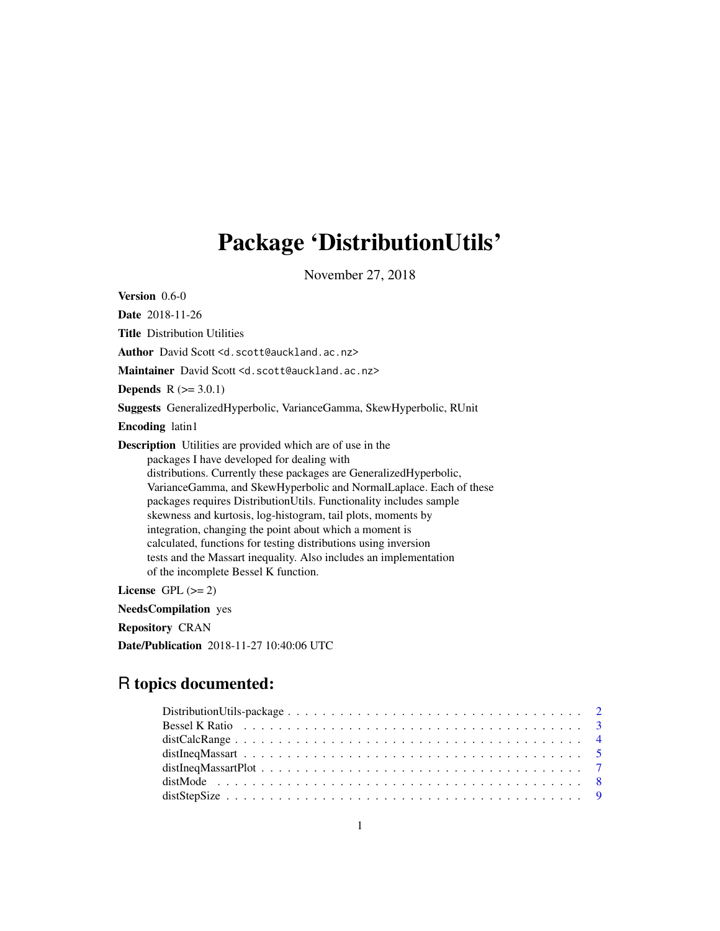# Package 'DistributionUtils'

November 27, 2018

<span id="page-0-0"></span>Version 0.6-0

Date 2018-11-26 Title Distribution Utilities Author David Scott <d.scott@auckland.ac.nz> Maintainer David Scott <d.scott@auckland.ac.nz> **Depends**  $R (= 3.0.1)$ Suggests GeneralizedHyperbolic, VarianceGamma, SkewHyperbolic, RUnit Encoding latin1 Description Utilities are provided which are of use in the packages I have developed for dealing with distributions. Currently these packages are GeneralizedHyperbolic, VarianceGamma, and SkewHyperbolic and NormalLaplace. Each of these packages requires DistributionUtils. Functionality includes sample skewness and kurtosis, log-histogram, tail plots, moments by integration, changing the point about which a moment is calculated, functions for testing distributions using inversion tests and the Massart inequality. Also includes an implementation of the incomplete Bessel K function.

License GPL  $(>= 2)$ 

NeedsCompilation yes

Repository CRAN

Date/Publication 2018-11-27 10:40:06 UTC

# R topics documented: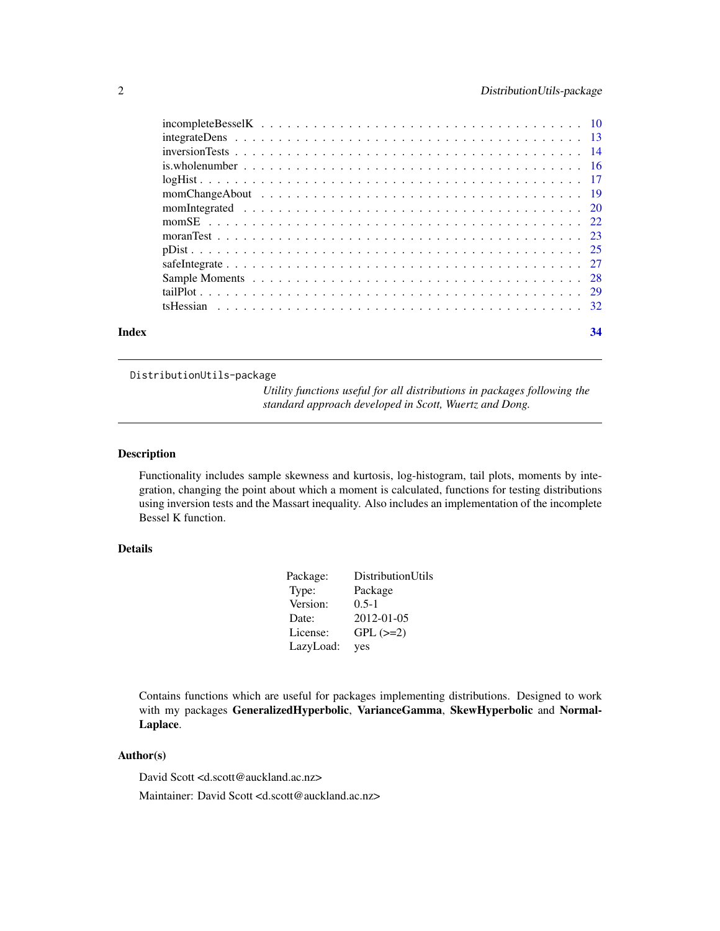<span id="page-1-0"></span>

| Index | 34 |
|-------|----|
|       |    |

DistributionUtils-package

*Utility functions useful for all distributions in packages following the standard approach developed in Scott, Wuertz and Dong.*

# Description

Functionality includes sample skewness and kurtosis, log-histogram, tail plots, moments by integration, changing the point about which a moment is calculated, functions for testing distributions using inversion tests and the Massart inequality. Also includes an implementation of the incomplete Bessel K function.

# Details

| Package:  | DistributionUtils |
|-----------|-------------------|
| Type:     | Package           |
| Version:  | $0.5 - 1$         |
| Date:     | 2012-01-05        |
| License:  | $GPL$ $(>=2)$     |
| LazyLoad: | yes               |

Contains functions which are useful for packages implementing distributions. Designed to work with my packages GeneralizedHyperbolic, VarianceGamma, SkewHyperbolic and Normal-Laplace.

# Author(s)

David Scott <d.scott@auckland.ac.nz>

Maintainer: David Scott <d.scott@auckland.ac.nz>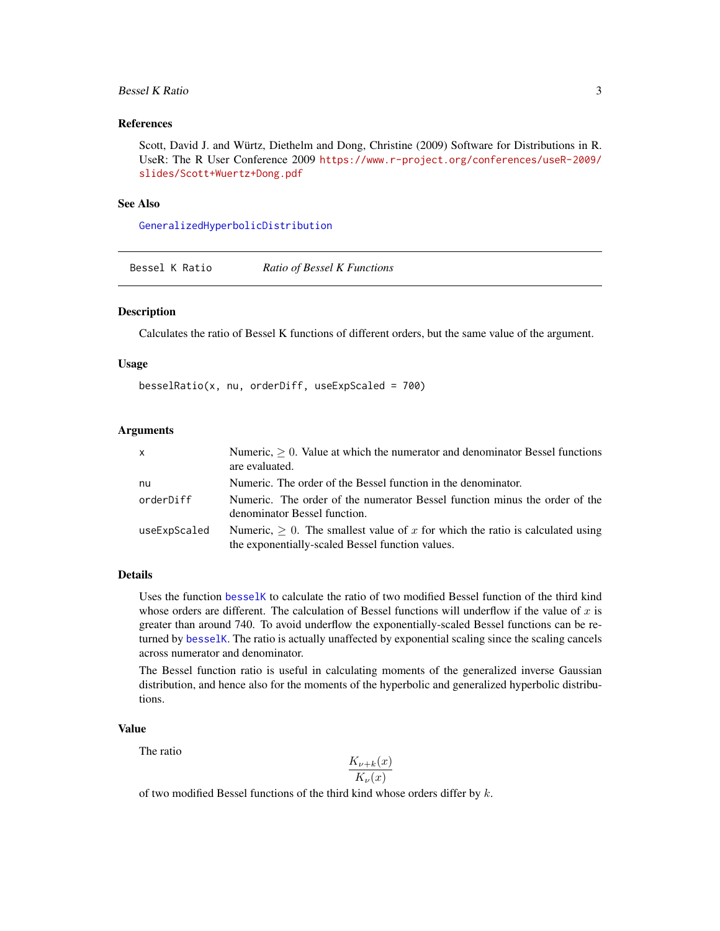# <span id="page-2-0"></span>Bessel K Ratio 3

# References

Scott, David J. and Würtz, Diethelm and Dong, Christine (2009) Software for Distributions in R. UseR: The R User Conference 2009 [https://www.r-project.org/conferences/useR-2009/](https://www.r-project.org/conferences/useR-2009/slides/Scott+Wuertz+Dong.pdf) [slides/Scott+Wuertz+Dong.pdf](https://www.r-project.org/conferences/useR-2009/slides/Scott+Wuertz+Dong.pdf)

#### See Also

[GeneralizedHyperbolicDistribution](#page-0-0)

Bessel K Ratio *Ratio of Bessel K Functions*

#### Description

Calculates the ratio of Bessel K functions of different orders, but the same value of the argument.

#### Usage

 $besselRatio(x, nu, orderDiff, useExpScaled = 700)$ 

#### Arguments

| $\mathsf{x}$ | Numeric, $> 0$ . Value at which the numerator and denominator Bessel functions<br>are evaluated.                                        |
|--------------|-----------------------------------------------------------------------------------------------------------------------------------------|
| nu           | Numeric. The order of the Bessel function in the denominator.                                                                           |
| orderDiff    | Numeric. The order of the numerator Bessel function minus the order of the<br>denominator Bessel function.                              |
| useExpScaled | Numeric, $\geq 0$ . The smallest value of x for which the ratio is calculated using<br>the exponentially-scaled Bessel function values. |

# Details

Uses the function [besselK](#page-0-0) to calculate the ratio of two modified Bessel function of the third kind whose orders are different. The calculation of Bessel functions will underflow if the value of  $x$  is greater than around 740. To avoid underflow the exponentially-scaled Bessel functions can be returned by [besselK](#page-0-0). The ratio is actually unaffected by exponential scaling since the scaling cancels across numerator and denominator.

The Bessel function ratio is useful in calculating moments of the generalized inverse Gaussian distribution, and hence also for the moments of the hyperbolic and generalized hyperbolic distributions.

#### Value

The ratio

$$
\frac{K_{\nu+k}(x)}{K_{\nu}(x)}
$$

of two modified Bessel functions of the third kind whose orders differ by  $k$ .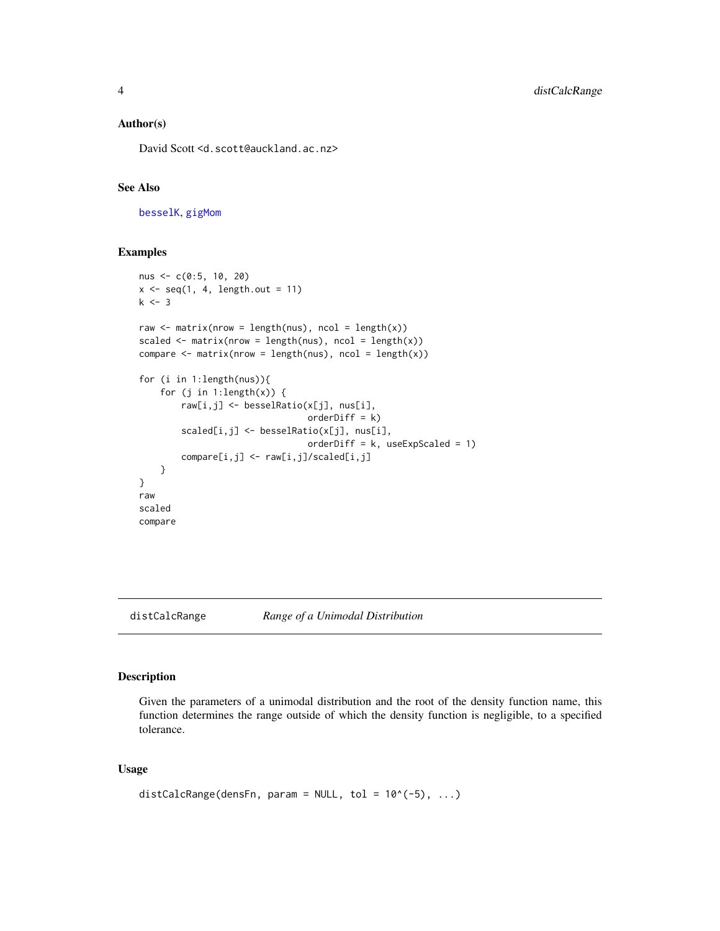#### <span id="page-3-0"></span>Author(s)

David Scott <d.scott@auckland.ac.nz>

# See Also

[besselK](#page-0-0), [gigMom](#page-0-0)

# Examples

```
nus <- c(0:5, 10, 20)
x \leftarrow \text{seq}(1, 4, \text{length.out} = 11)k < -3raw \leq matrix(nrow = length(nus), ncol = length(x))
scaled \leq matrix(nrow = length(nus), ncol = length(x))
compare \leq matrix(nrow = length(nus), ncol = length(x))
for (i in 1:length(nus)){
    for (j in 1:length(x)) {
        raw[i,j] <- besselRatio(x[j], nus[i],
                                  orderDiff = k)
        scaled[i,j] <- besselRatio(x[j], nus[i],
                                  orderDiff = k, useExpScaled = 1)
        compare[i,j] <- raw[i,j]/scaled[i,j]
    }
}
raw
scaled
compare
```

```
distCalcRange Range of a Unimodal Distribution
```
#### Description

Given the parameters of a unimodal distribution and the root of the density function name, this function determines the range outside of which the density function is negligible, to a specified tolerance.

# Usage

```
distCalcRange(densFn, param = NULL, tol = 10^(-5), ...)
```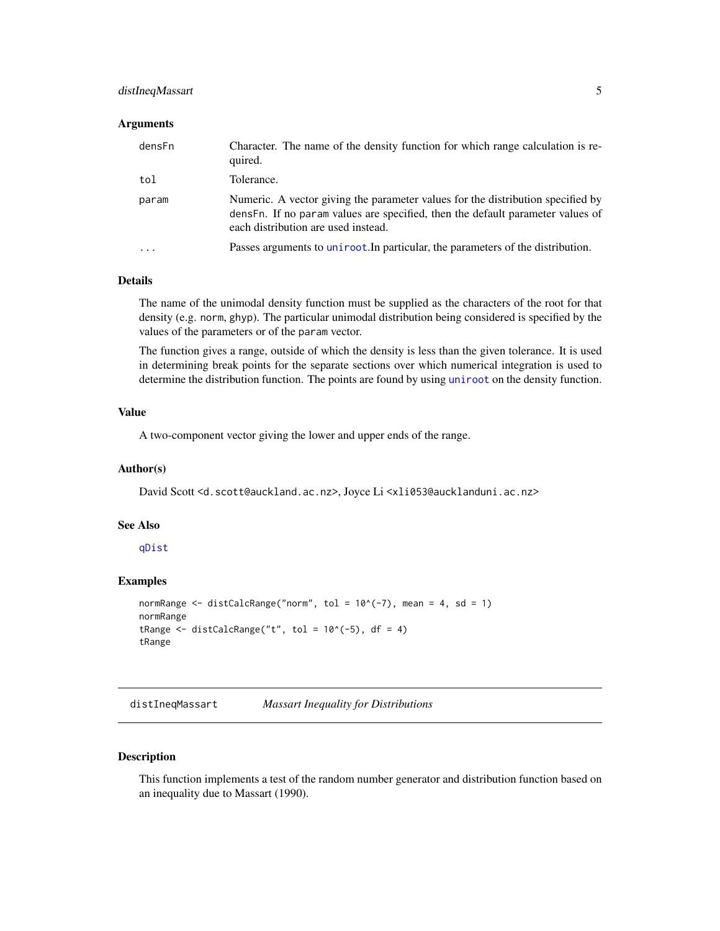# <span id="page-4-0"></span>distIneqMassart 5

#### Arguments

| densFn                  | Character. The name of the density function for which range calculation is re-<br>quired.                                                                                                                |
|-------------------------|----------------------------------------------------------------------------------------------------------------------------------------------------------------------------------------------------------|
| tol                     | Tolerance.                                                                                                                                                                                               |
| param                   | Numeric. A vector giving the parameter values for the distribution specified by<br>densFn. If no param values are specified, then the default parameter values of<br>each distribution are used instead. |
| $\cdot$ $\cdot$ $\cdot$ | Passes arguments to uniroot. In particular, the parameters of the distribution.                                                                                                                          |

# Details

The name of the unimodal density function must be supplied as the characters of the root for that density (e.g. norm, ghyp). The particular unimodal distribution being considered is specified by the values of the parameters or of the param vector.

The function gives a range, outside of which the density is less than the given tolerance. It is used in determining break points for the separate sections over which numerical integration is used to determine the distribution function. The points are found by using [uniroot](#page-0-0) on the density function.

#### Value

A two-component vector giving the lower and upper ends of the range.

#### Author(s)

David Scott <d.scott@auckland.ac.nz>, Joyce Li <xli053@aucklanduni.ac.nz>

# See Also

[qDist](#page-24-1)

# Examples

```
normRange \le distCalcRange("norm", tol = 10^(-7), mean = 4, sd = 1)
normRange
tRange \le distCalcRange("t", tol = 10^(-5), df = 4)
tRange
```
distIneqMassart *Massart Inequality for Distributions*

# Description

This function implements a test of the random number generator and distribution function based on an inequality due to Massart (1990).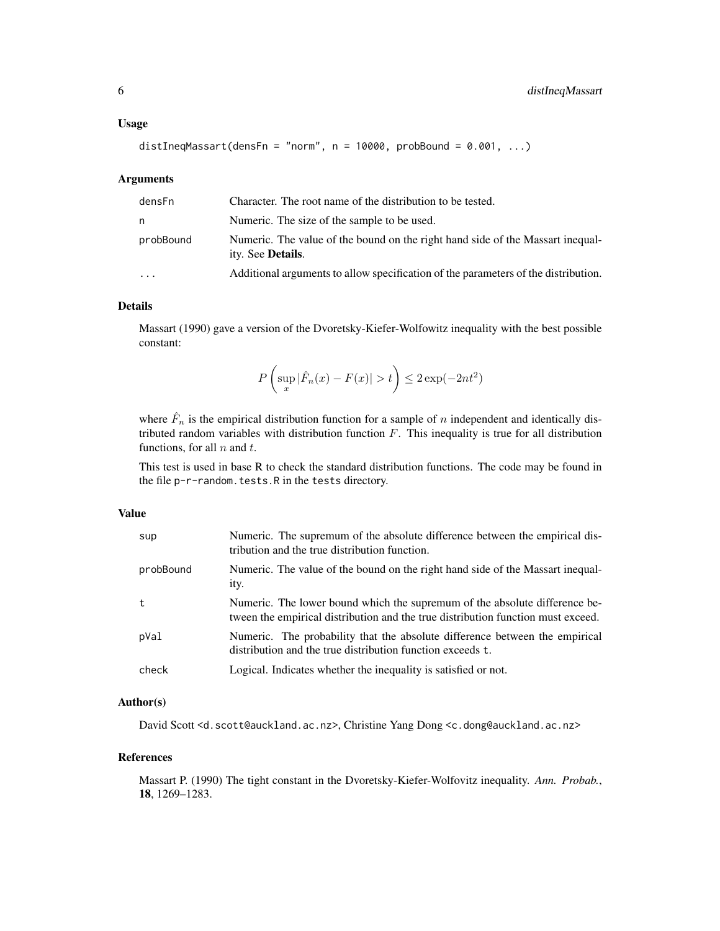#### Usage

```
distIneqMassart(densFn = "norm", n = 10000, probBound = 0.001, ...)
```
#### Arguments

| densFn    | Character. The root name of the distribution to be tested.                                                  |
|-----------|-------------------------------------------------------------------------------------------------------------|
| n         | Numeric. The size of the sample to be used.                                                                 |
| probBound | Numeric. The value of the bound on the right hand side of the Massart inequal-<br>ity. See <b>Details</b> . |
| $\cdots$  | Additional arguments to allow specification of the parameters of the distribution.                          |

# Details

Massart (1990) gave a version of the Dvoretsky-Kiefer-Wolfowitz inequality with the best possible constant:

$$
P\left(\sup_x|\hat{F}_n(x)-F(x)|>t\right)\leq 2\exp(-2nt^2)
$$

where  $\hat{F}_n$  is the empirical distribution function for a sample of n independent and identically distributed random variables with distribution function  $F$ . This inequality is true for all distribution functions, for all  $n$  and  $t$ .

This test is used in base R to check the standard distribution functions. The code may be found in the file p-r-random.tests.R in the tests directory.

#### Value

| sup       | Numeric. The supremum of the absolute difference between the empirical dis-<br>tribution and the true distribution function.                                   |
|-----------|----------------------------------------------------------------------------------------------------------------------------------------------------------------|
| probBound | Numeric. The value of the bound on the right hand side of the Massart inequal-<br>ity.                                                                         |
| t.        | Numeric. The lower bound which the supremum of the absolute difference be-<br>tween the empirical distribution and the true distribution function must exceed. |
| pVal      | Numeric. The probability that the absolute difference between the empirical<br>distribution and the true distribution function exceeds t.                      |
| check     | Logical. Indicates whether the inequality is satisfied or not.                                                                                                 |

# Author(s)

David Scott <d.scott@auckland.ac.nz>, Christine Yang Dong <c.dong@auckland.ac.nz>

# References

Massart P. (1990) The tight constant in the Dvoretsky-Kiefer-Wolfovitz inequality. *Ann. Probab.*, 18, 1269–1283.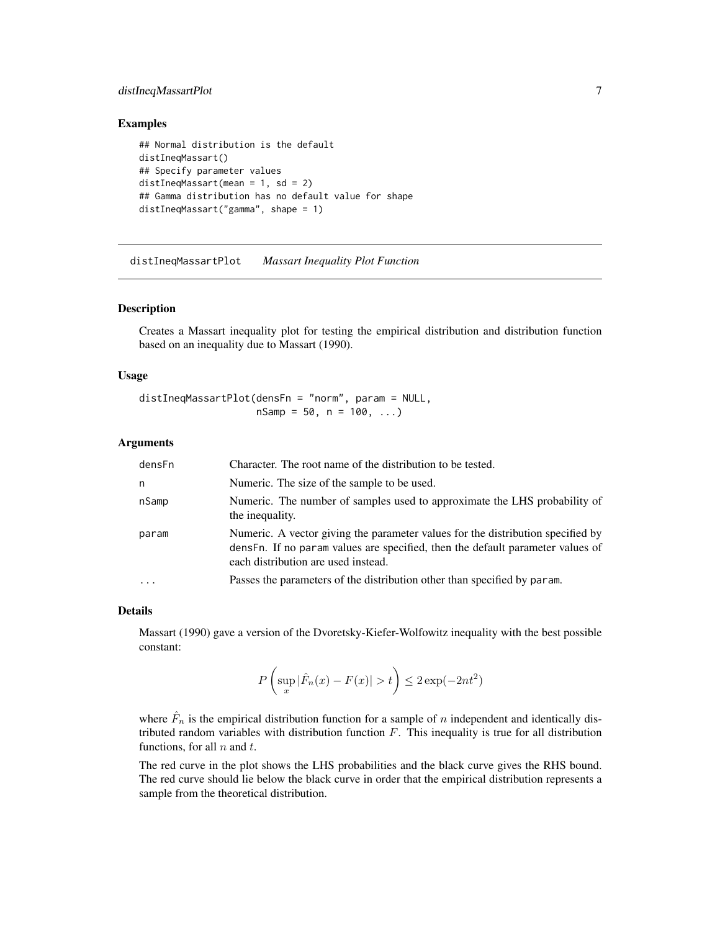# <span id="page-6-0"></span>distIneqMassartPlot 7

#### Examples

```
## Normal distribution is the default
distIneqMassart()
## Specify parameter values
distIneqMassart(mean = 1, sd = 2)
## Gamma distribution has no default value for shape
distIneqMassart("gamma", shape = 1)
```
distIneqMassartPlot *Massart Inequality Plot Function*

# Description

Creates a Massart inequality plot for testing the empirical distribution and distribution function based on an inequality due to Massart (1990).

#### Usage

```
distIneqMassartPlot(densFn = "norm", param = NULL,
                   nSamp = 50, n = 100, ...)
```
#### Arguments

| densFn   | Character. The root name of the distribution to be tested.                                                                                                                                                |
|----------|-----------------------------------------------------------------------------------------------------------------------------------------------------------------------------------------------------------|
| n        | Numeric. The size of the sample to be used.                                                                                                                                                               |
| nSamp    | Numeric. The number of samples used to approximate the LHS probability of<br>the inequality.                                                                                                              |
| param    | Numeric. A vector giving the parameter values for the distribution specified by<br>dens Fn. If no param values are specified, then the default parameter values of<br>each distribution are used instead. |
| $\cdots$ | Passes the parameters of the distribution other than specified by param.                                                                                                                                  |

#### Details

Massart (1990) gave a version of the Dvoretsky-Kiefer-Wolfowitz inequality with the best possible constant:

$$
P\left(\sup_x|\hat{F}_n(x)-F(x)|>t\right)\leq 2\exp(-2nt^2)
$$

where  $\hat{F}_n$  is the empirical distribution function for a sample of n independent and identically distributed random variables with distribution function  $F$ . This inequality is true for all distribution functions, for all  $n$  and  $t$ .

The red curve in the plot shows the LHS probabilities and the black curve gives the RHS bound. The red curve should lie below the black curve in order that the empirical distribution represents a sample from the theoretical distribution.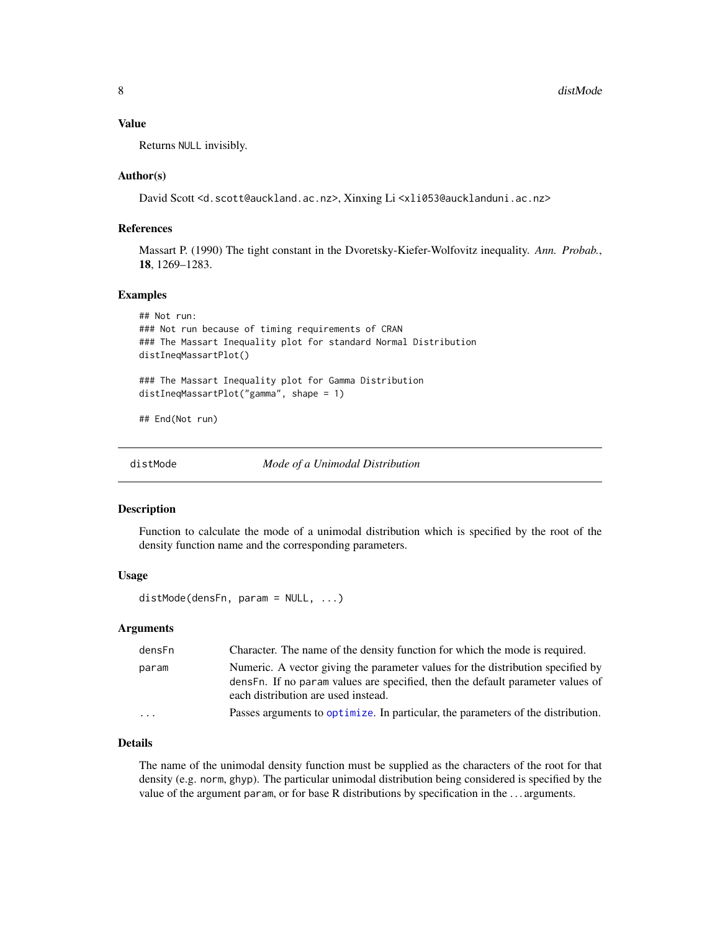### <span id="page-7-0"></span>Value

Returns NULL invisibly.

#### Author(s)

David Scott <d.scott@auckland.ac.nz>, Xinxing Li <xli053@aucklanduni.ac.nz>

# References

Massart P. (1990) The tight constant in the Dvoretsky-Kiefer-Wolfovitz inequality. *Ann. Probab.*, 18, 1269–1283.

#### Examples

```
## Not run:
### Not run because of timing requirements of CRAN
### The Massart Inequality plot for standard Normal Distribution
distIneqMassartPlot()
### The Massart Inequality plot for Gamma Distribution
distIneqMassartPlot("gamma", shape = 1)
## End(Not run)
```
<span id="page-7-1"></span>distMode *Mode of a Unimodal Distribution*

#### Description

Function to calculate the mode of a unimodal distribution which is specified by the root of the density function name and the corresponding parameters.

# Usage

```
distMode(densFn, param = NULL, ...)
```
# Arguments

| densFn  | Character. The name of the density function for which the mode is required.                                                                                                                               |
|---------|-----------------------------------------------------------------------------------------------------------------------------------------------------------------------------------------------------------|
| param   | Numeric. A vector giving the parameter values for the distribution specified by<br>dens Fn. If no param values are specified, then the default parameter values of<br>each distribution are used instead. |
| $\cdot$ | Passes arguments to optimize. In particular, the parameters of the distribution.                                                                                                                          |

# Details

The name of the unimodal density function must be supplied as the characters of the root for that density (e.g. norm, ghyp). The particular unimodal distribution being considered is specified by the value of the argument param, or for base R distributions by specification in the . . . arguments.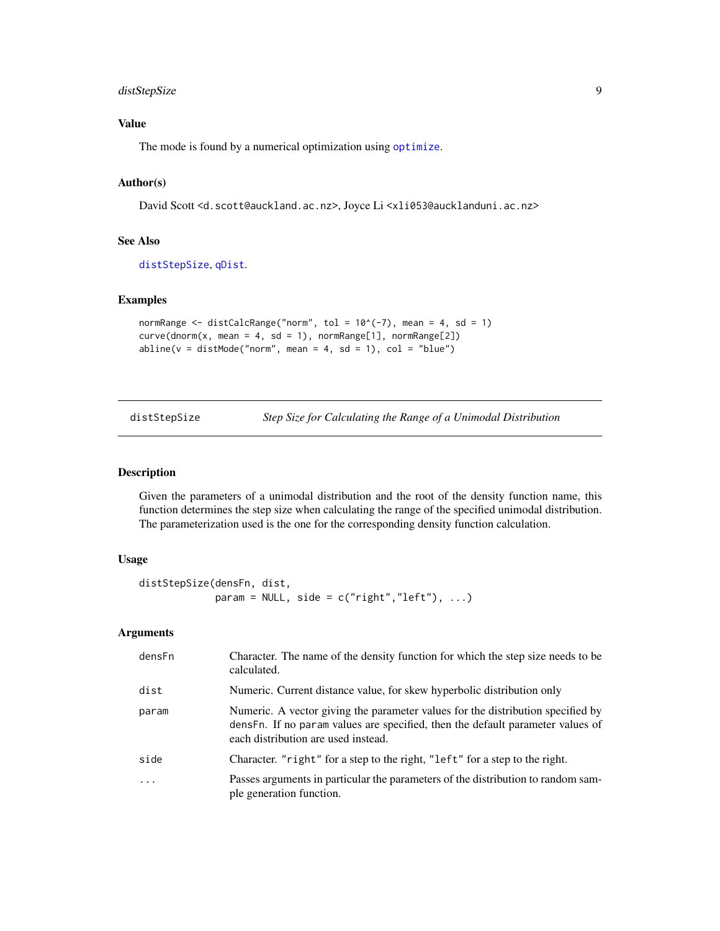# <span id="page-8-0"></span>distStepSize 9

# Value

The mode is found by a numerical optimization using [optimize](#page-0-0).

### Author(s)

David Scott <d.scott@auckland.ac.nz>, Joyce Li <xli053@aucklanduni.ac.nz>

# See Also

[distStepSize](#page-8-1), [qDist](#page-24-1).

#### Examples

```
normRange \le distCalcRange("norm", tol = 10^(-7), mean = 4, sd = 1)
curve(dnorm(x, mean = 4, sd = 1), normRange[1], normRange[2])abline(v = distMode("norm", mean = 4, sd = 1), col = "blue")
```
<span id="page-8-1"></span>

distStepSize *Step Size for Calculating the Range of a Unimodal Distribution*

# Description

Given the parameters of a unimodal distribution and the root of the density function name, this function determines the step size when calculating the range of the specified unimodal distribution. The parameterization used is the one for the corresponding density function calculation.

# Usage

```
distStepSize(densFn, dist,
             param = NULL, side = c("right", "left"), ...)
```
# Arguments

| densFn   | Character. The name of the density function for which the step size needs to be<br>calculated.                                                                                                           |
|----------|----------------------------------------------------------------------------------------------------------------------------------------------------------------------------------------------------------|
| dist     | Numeric. Current distance value, for skew hyperbolic distribution only                                                                                                                                   |
| param    | Numeric. A vector giving the parameter values for the distribution specified by<br>densFn. If no param values are specified, then the default parameter values of<br>each distribution are used instead. |
| side     | Character. "right" for a step to the right, "left" for a step to the right.                                                                                                                              |
| $\ddots$ | Passes arguments in particular the parameters of the distribution to random sam-<br>ple generation function.                                                                                             |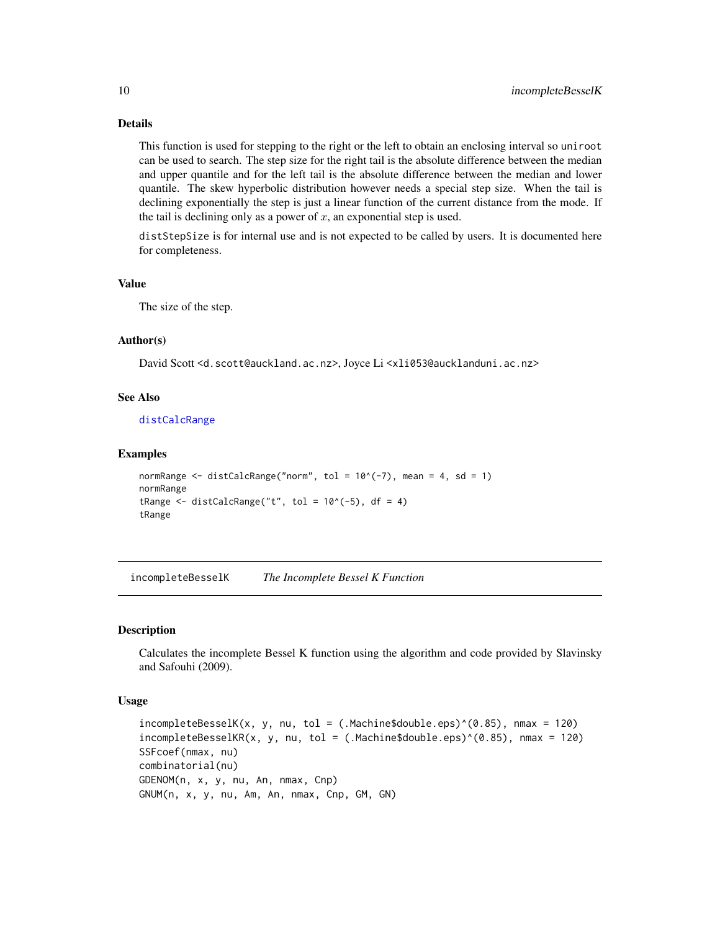# Details

This function is used for stepping to the right or the left to obtain an enclosing interval so uniroot can be used to search. The step size for the right tail is the absolute difference between the median and upper quantile and for the left tail is the absolute difference between the median and lower quantile. The skew hyperbolic distribution however needs a special step size. When the tail is declining exponentially the step is just a linear function of the current distance from the mode. If the tail is declining only as a power of  $x$ , an exponential step is used.

distStepSize is for internal use and is not expected to be called by users. It is documented here for completeness.

# Value

The size of the step.

# Author(s)

David Scott <d.scott@auckland.ac.nz>, Joyce Li <xli053@aucklanduni.ac.nz>

#### See Also

[distCalcRange](#page-3-1)

#### Examples

```
normRange \le distCalcRange("norm", tol = 10^(-7), mean = 4, sd = 1)
normRange
tRange \le distCalcRange("t", tol = 10^(-5), df = 4)
tRange
```
incompleteBesselK *The Incomplete Bessel K Function*

# **Description**

Calculates the incomplete Bessel K function using the algorithm and code provided by Slavinsky and Safouhi (2009).

#### Usage

 $incompleteBesselK(x, y, nu, tol = (.Machine$double.eps)^(0.85), nmax = 120)$  $incompleteBesselKR(x, y, nu, tol = (.Machine$double.eps)^(0.85), max = 120)$ SSFcoef(nmax, nu) combinatorial(nu) GDENOM(n, x, y, nu, An, nmax, Cnp) GNUM(n, x, y, nu, Am, An, nmax, Cnp, GM, GN)

<span id="page-9-0"></span>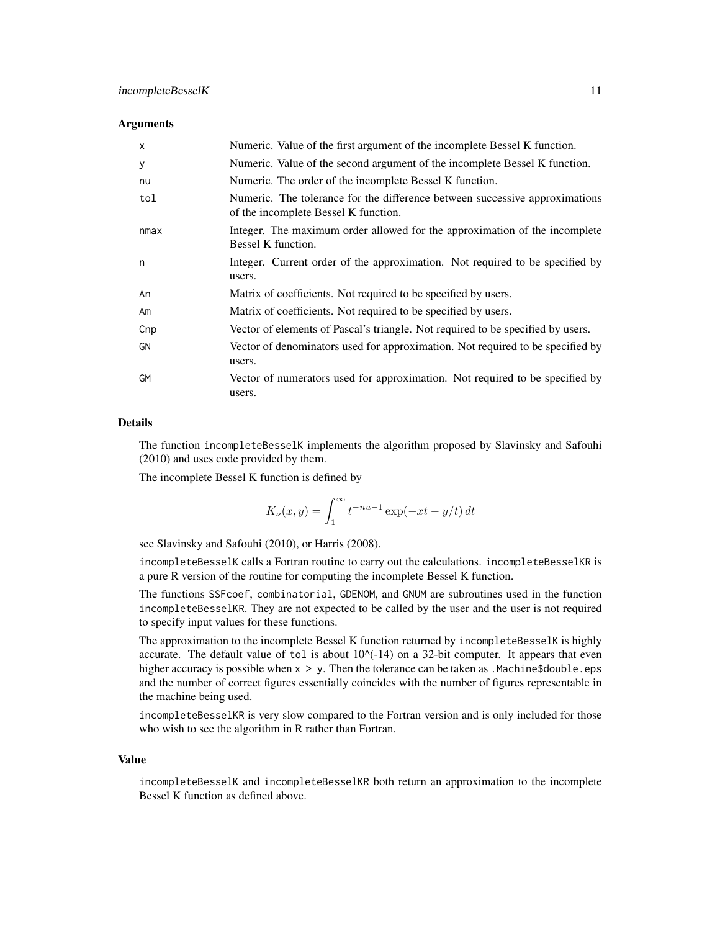#### **Arguments**

| $\mathsf{x}$ | Numeric. Value of the first argument of the incomplete Bessel K function.                                           |
|--------------|---------------------------------------------------------------------------------------------------------------------|
| У            | Numeric. Value of the second argument of the incomplete Bessel K function.                                          |
| nu           | Numeric. The order of the incomplete Bessel K function.                                                             |
| tol          | Numeric. The tolerance for the difference between successive approximations<br>of the incomplete Bessel K function. |
| nmax         | Integer. The maximum order allowed for the approximation of the incomplete<br>Bessel K function.                    |
| n            | Integer. Current order of the approximation. Not required to be specified by<br>users.                              |
| An           | Matrix of coefficients. Not required to be specified by users.                                                      |
| Am           | Matrix of coefficients. Not required to be specified by users.                                                      |
| Cnp          | Vector of elements of Pascal's triangle. Not required to be specified by users.                                     |
| GN           | Vector of denominators used for approximation. Not required to be specified by<br>users.                            |
| <b>GM</b>    | Vector of numerators used for approximation. Not required to be specified by<br>users.                              |

#### Details

The function incompleteBesselK implements the algorithm proposed by Slavinsky and Safouhi (2010) and uses code provided by them.

The incomplete Bessel K function is defined by

$$
K_{\nu}(x,y) = \int_1^{\infty} t^{-nu-1} \exp(-xt - y/t) dt
$$

see Slavinsky and Safouhi (2010), or Harris (2008).

incompleteBesselK calls a Fortran routine to carry out the calculations. incompleteBesselKR is a pure R version of the routine for computing the incomplete Bessel K function.

The functions SSFcoef, combinatorial, GDENOM, and GNUM are subroutines used in the function incompleteBesselKR. They are not expected to be called by the user and the user is not required to specify input values for these functions.

The approximation to the incomplete Bessel K function returned by incompleteBesselK is highly accurate. The default value of tol is about  $10\sqrt{-14}$  on a 32-bit computer. It appears that even higher accuracy is possible when  $x > y$ . Then the tolerance can be taken as . Machine \$double.eps and the number of correct figures essentially coincides with the number of figures representable in the machine being used.

incompleteBesselKR is very slow compared to the Fortran version and is only included for those who wish to see the algorithm in R rather than Fortran.

#### Value

incompleteBesselK and incompleteBesselKR both return an approximation to the incomplete Bessel K function as defined above.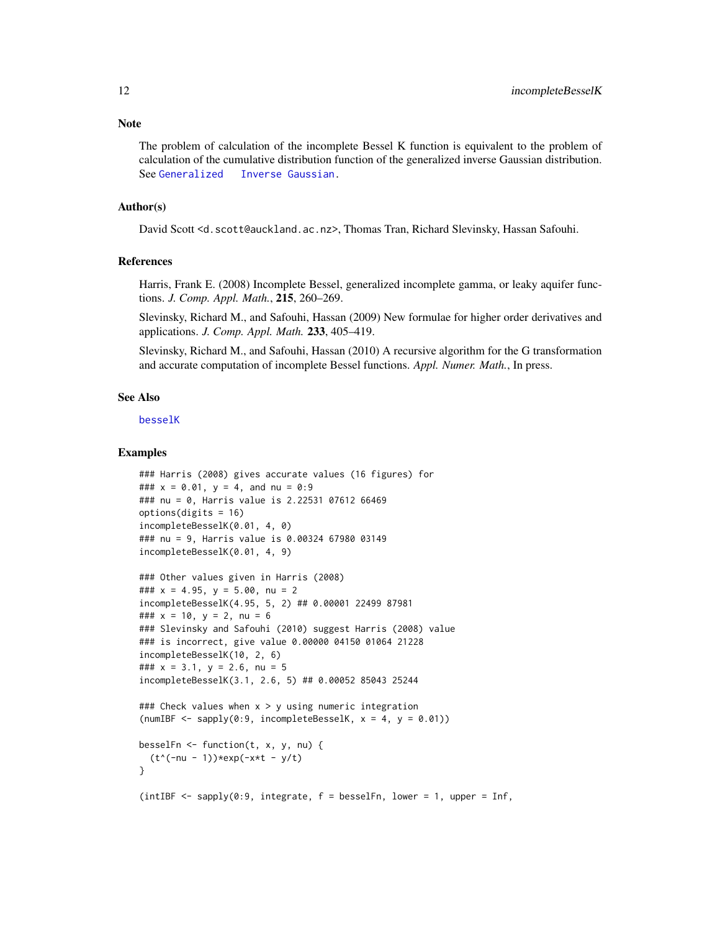<span id="page-11-0"></span>The problem of calculation of the incomplete Bessel K function is equivalent to the problem of calculation of the cumulative distribution function of the generalized inverse Gaussian distribution. See [Generalized Inverse Gaussian.](#page-0-0)

#### Author(s)

David Scott <d.scott@auckland.ac.nz>, Thomas Tran, Richard Slevinsky, Hassan Safouhi.

#### References

Harris, Frank E. (2008) Incomplete Bessel, generalized incomplete gamma, or leaky aquifer functions. *J. Comp. Appl. Math.*, 215, 260–269.

Slevinsky, Richard M., and Safouhi, Hassan (2009) New formulae for higher order derivatives and applications. *J. Comp. Appl. Math.* 233, 405–419.

Slevinsky, Richard M., and Safouhi, Hassan (2010) A recursive algorithm for the G transformation and accurate computation of incomplete Bessel functions. *Appl. Numer. Math.*, In press.

#### See Also

[besselK](#page-0-0)

#### Examples

```
### Harris (2008) gives accurate values (16 figures) for
### x = 0.01, y = 4, and nu = 0.9### nu = 0, Harris value is 2.22531 07612 66469
options(digits = 16)
incompleteBesselK(0.01, 4, 0)
### nu = 9, Harris value is 0.00324 67980 03149
incompleteBesselK(0.01, 4, 9)
```

```
### Other values given in Harris (2008)
### x = 4.95, y = 5.00, nu = 2incompleteBesselK(4.95, 5, 2) ## 0.00001 22499 87981
### x = 10, y = 2, nu = 6
### Slevinsky and Safouhi (2010) suggest Harris (2008) value
### is incorrect, give value 0.00000 04150 01064 21228
incompleteBesselK(10, 2, 6)
### x = 3.1, y = 2.6, nu = 5
incompleteBesselK(3.1, 2.6, 5) ## 0.00052 85043 25244
```

```
### Check values when x > y using numeric integration
(numIBF \leq sapply(0:9, incompleteBesselK, x = 4, y = 0.01))
```

```
besselFn \leq function(t, x, y, nu) {
  (t^*(-nu - 1))*exp(-x*t - y/t)}
```

```
(intIBF <- supply(0:9, integrate, f = besselfn, lower = 1, upper = Inf,
```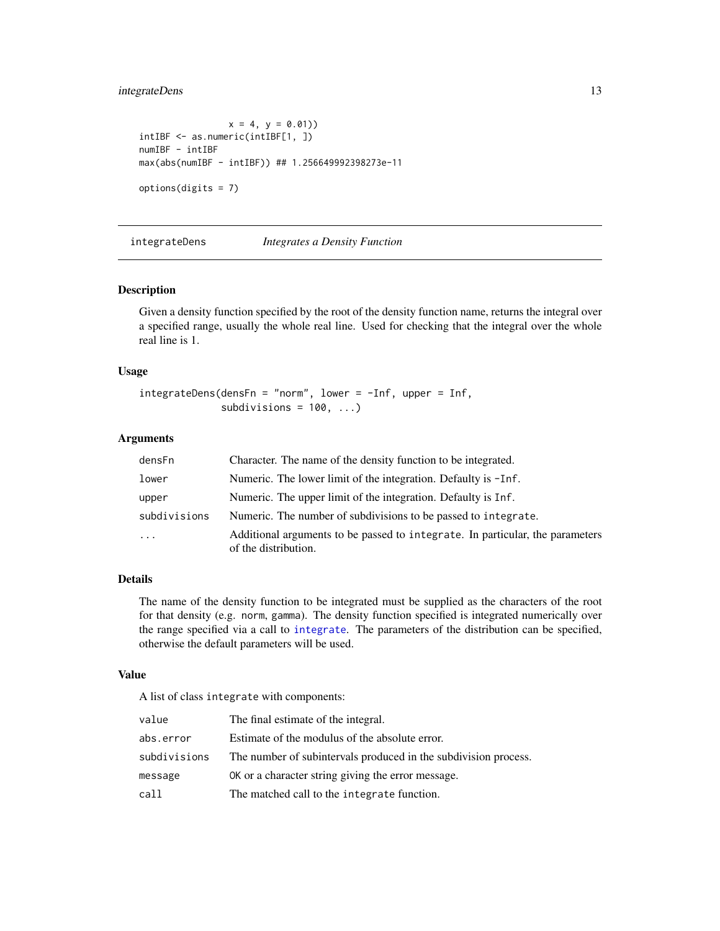# <span id="page-12-0"></span>integrateDens 13

```
x = 4, y = 0.01)intIBF <- as.numeric(intIBF[1, ])
numIBF - intIBF
max(abs(numIBF - intIBF)) ## 1.256649992398273e-11
options(digits = 7)
```
integrateDens *Integrates a Density Function*

# Description

Given a density function specified by the root of the density function name, returns the integral over a specified range, usually the whole real line. Used for checking that the integral over the whole real line is 1.

# Usage

```
integrateDens(densFn = "norm", lower = -Inf, upper = Inf,
              subdivisions = 100, ...)
```
#### **Arguments**

| densFn       | Character. The name of the density function to be integrated.                                         |
|--------------|-------------------------------------------------------------------------------------------------------|
| lower        | Numeric. The lower limit of the integration. Defaulty is $-I$ nf.                                     |
| upper        | Numeric. The upper limit of the integration. Defaulty is Inf.                                         |
| subdivisions | Numeric. The number of subdivisions to be passed to integrate.                                        |
| $\ddotsc$    | Additional arguments to be passed to integrate. In particular, the parameters<br>of the distribution. |

# Details

The name of the density function to be integrated must be supplied as the characters of the root for that density (e.g. norm, gamma). The density function specified is integrated numerically over the range specified via a call to [integrate](#page-0-0). The parameters of the distribution can be specified, otherwise the default parameters will be used.

#### Value

A list of class integrate with components:

| value        | The final estimate of the integral.                             |
|--------------|-----------------------------------------------------------------|
| abs.error    | Estimate of the modulus of the absolute error.                  |
| subdivisions | The number of subintervals produced in the subdivision process. |
| message      | OK or a character string giving the error message.              |
| call         | The matched call to the integrate function.                     |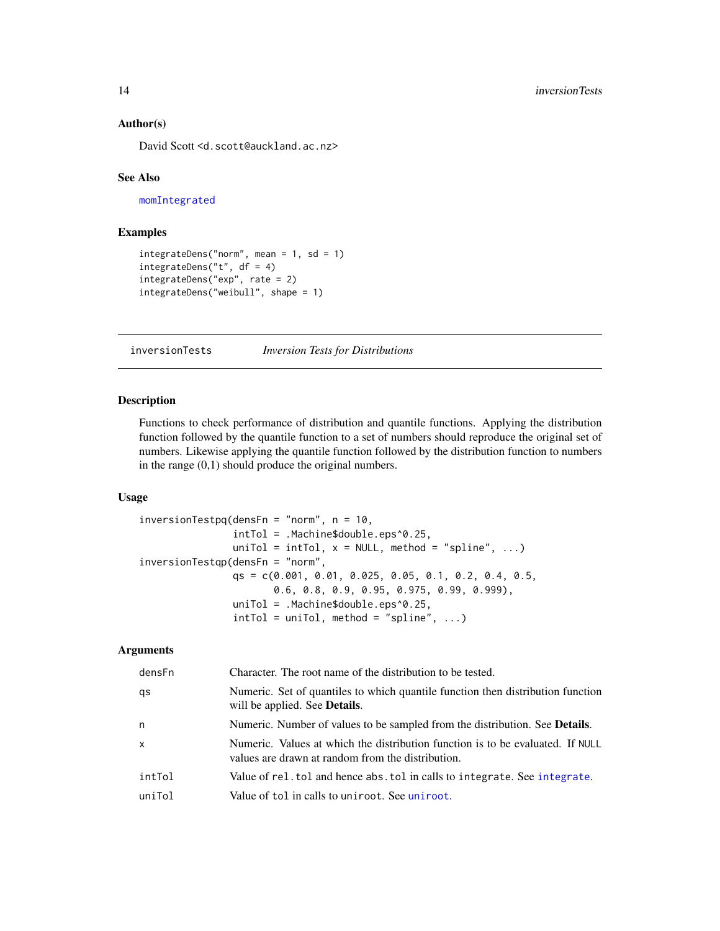#### <span id="page-13-0"></span>Author(s)

David Scott <d.scott@auckland.ac.nz>

#### See Also

[momIntegrated](#page-19-1)

# Examples

```
integrateDens("norm", mean = 1, sd = 1)integrateDens("t", df = 4)
integrateDens("exp", rate = 2)
integrateDens("weibull", shape = 1)
```
inversionTests *Inversion Tests for Distributions*

# Description

Functions to check performance of distribution and quantile functions. Applying the distribution function followed by the quantile function to a set of numbers should reproduce the original set of numbers. Likewise applying the quantile function followed by the distribution function to numbers in the range (0,1) should produce the original numbers.

# Usage

```
inversionTestpq(densFn = "norm", n = 10,
                intTol = .Machine$double.eps^0.25,
                uniTol = intTol, x = NULL, method = "spline", ...)
inversionTestqp(densFn = "norm",
                qs = c(0.001, 0.01, 0.025, 0.05, 0.1, 0.2, 0.4, 0.5,
                       0.6, 0.8, 0.9, 0.95, 0.975, 0.99, 0.999),
                uniTol = .Machine$double.eps^0.25,
                intTol = uniTol, method = "splitne", ...)
```
# Arguments

| densFn       | Character. The root name of the distribution to be tested.                                                                          |
|--------------|-------------------------------------------------------------------------------------------------------------------------------------|
| qs           | Numeric. Set of quantiles to which quantile function then distribution function<br>will be applied. See <b>Details</b> .            |
| n            | Numeric. Number of values to be sampled from the distribution. See <b>Details</b> .                                                 |
| $\mathsf{x}$ | Numeric. Values at which the distribution function is to be evaluated. If NULL<br>values are drawn at random from the distribution. |
| intTol       | Value of rel. tol and hence abs. tol in calls to integrate. See integrate.                                                          |
| uniTol       | Value of tol in calls to uniroot. See uniroot.                                                                                      |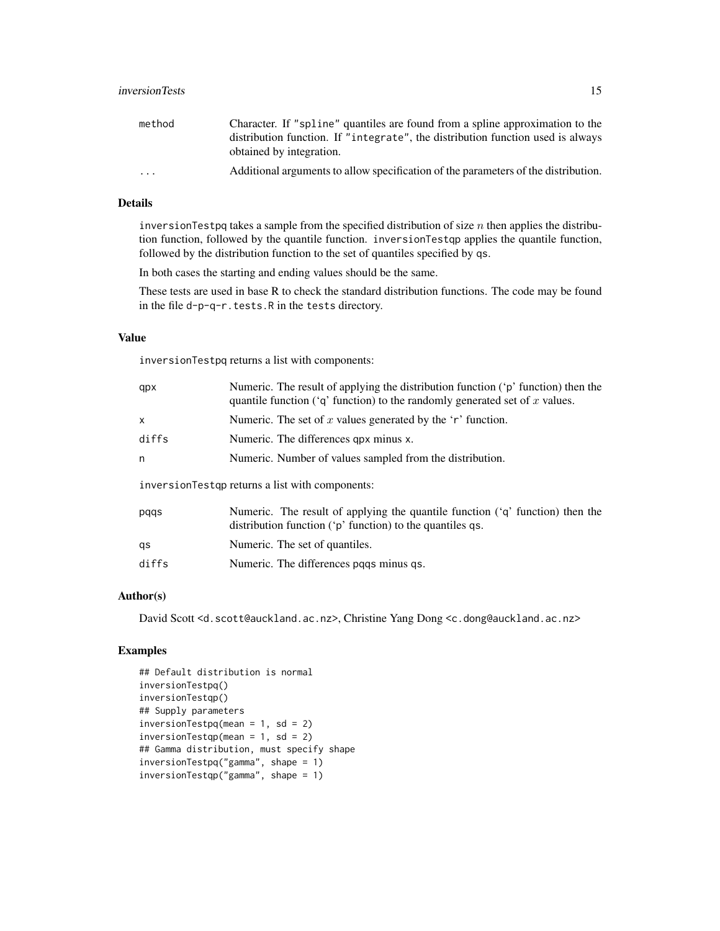# inversionTests 15

| method                  | Character. If "spline" quantiles are found from a spline approximation to the      |
|-------------------------|------------------------------------------------------------------------------------|
|                         | distribution function. If "integrate", the distribution function used is always    |
|                         | obtained by integration.                                                           |
| $\cdot$ $\cdot$ $\cdot$ | Additional arguments to allow specification of the parameters of the distribution. |

# Details

inversionTestpq takes a sample from the specified distribution of size  $n$  then applies the distribution function, followed by the quantile function. inversionTestqp applies the quantile function, followed by the distribution function to the set of quantiles specified by qs.

In both cases the starting and ending values should be the same.

These tests are used in base R to check the standard distribution functions. The code may be found in the file d-p-q-r.tests.R in the tests directory.

# Value

inversionTestpq returns a list with components:

| qpx                                                                                        | Numeric. The result of applying the distribution function ('p' function) then the<br>quantile function ( $q$ function) to the randomly generated set of x values. |  |
|--------------------------------------------------------------------------------------------|-------------------------------------------------------------------------------------------------------------------------------------------------------------------|--|
| X                                                                                          | Numeric. The set of x values generated by the 'r' function.                                                                                                       |  |
| diffs                                                                                      | Numeric. The differences qpx minus x.                                                                                                                             |  |
| n                                                                                          | Numeric. Number of values sampled from the distribution.                                                                                                          |  |
| inversion Test approximate intervalse intervalse intervalse intervalsed in the components: |                                                                                                                                                                   |  |
| pqqs                                                                                       | Numeric. The result of applying the quantile function $(q^r)$ function) then the<br>distribution function ('p' function) to the quantiles qs.                     |  |
| qs                                                                                         | Numeric. The set of quantiles.                                                                                                                                    |  |

diffs Numeric. The differences pqqs minus qs.

### Author(s)

David Scott <d.scott@auckland.ac.nz>, Christine Yang Dong <c.dong@auckland.ac.nz>

# Examples

```
## Default distribution is normal
inversionTestpq()
inversionTestqp()
## Supply parameters
inversionTestpq(mean = 1, sd = 2)
inversionTestqp(mean = 1, sd = 2)## Gamma distribution, must specify shape
inversionTestpq("gamma", shape = 1)
inversionTestqp("gamma", shape = 1)
```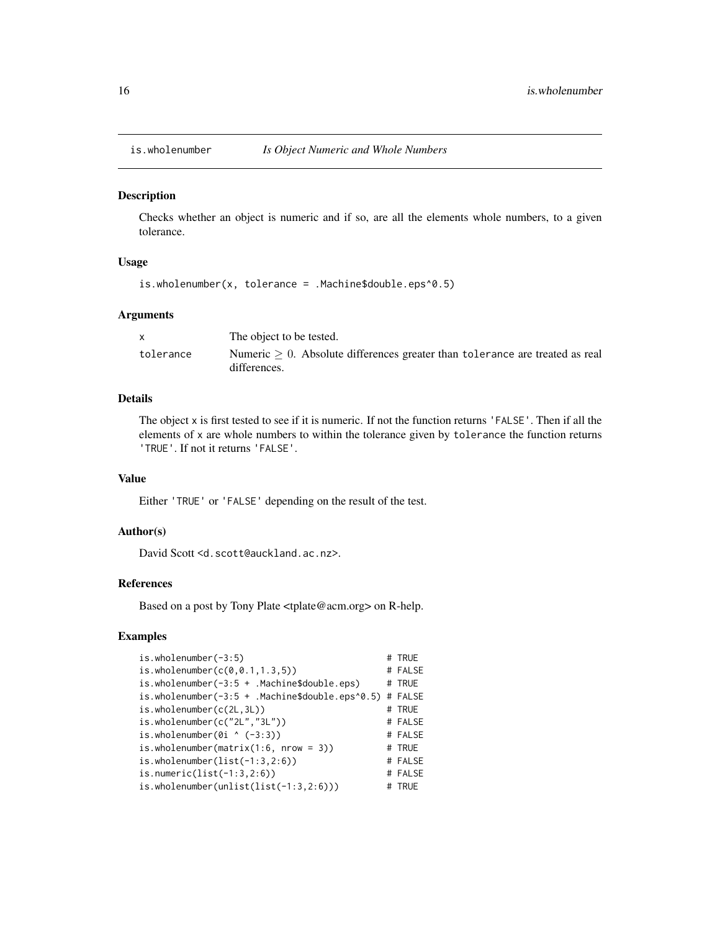<span id="page-15-0"></span>

#### **Description**

Checks whether an object is numeric and if so, are all the elements whole numbers, to a given tolerance.

#### Usage

```
is.wholenumber(x, tolerance = .Machine$double.eps^0.5)
```
#### Arguments

|           | The object to be tested.                                                                        |
|-----------|-------------------------------------------------------------------------------------------------|
| tolerance | Numeric $> 0$ . Absolute differences greater than tolerance are treated as real<br>differences. |

#### Details

The object x is first tested to see if it is numeric. If not the function returns 'FALSE'. Then if all the elements of x are whole numbers to within the tolerance given by tolerance the function returns 'TRUE'. If not it returns 'FALSE'.

# Value

Either 'TRUE' or 'FALSE' depending on the result of the test.

# Author(s)

David Scott <d.scott@auckland.ac.nz>.

# References

Based on a post by Tony Plate <tplate@acm.org> on R-help.

#### Examples

```
is.wholenumber(-3:5) # TRUE
is. who lenumber(c(0, 0.1, 1.3, 5)) # FALSE
is.wholenumber(-3:5 + .Machine$double.eps) # TRUE
is.wholenumber(-3:5 + .Machine$double.eps^0.5) # FALSE
is.wholenumber(c(2L,3L)) # TRUE
is.wholenumber(c("2L","3L")) # FALSE
is. who lenumber(0i \land (-3:3)) # FALSE
is.wholenumber(matrix(1:6, nrow = 3)) \# TRUE
is.wholenumber(list(-1:3,2:6)) # FALSE
is.numeric(list(-1:3,2:6)) # FALSE
is.wholenumber(unlist(list(-1:3,2:6))) # TRUE
```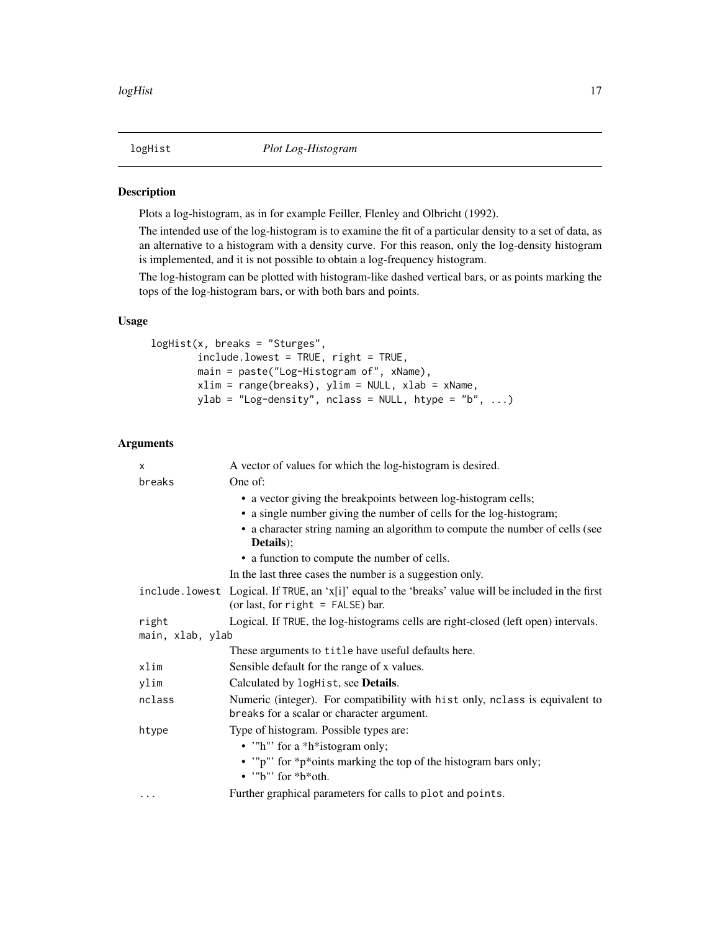<span id="page-16-0"></span>

### Description

Plots a log-histogram, as in for example Feiller, Flenley and Olbricht (1992).

The intended use of the log-histogram is to examine the fit of a particular density to a set of data, as an alternative to a histogram with a density curve. For this reason, only the log-density histogram is implemented, and it is not possible to obtain a log-frequency histogram.

The log-histogram can be plotted with histogram-like dashed vertical bars, or as points marking the tops of the log-histogram bars, or with both bars and points.

#### Usage

```
logHist(x, breaks = "Sturges",
       include.lowest = TRUE, right = TRUE,
       main = paste("Log-Histogram of", xName),
       xlim = range(breaks), ylim = NULL, xlab = xName,
       ylab = "Log-density", nclass = NULL, htype = "b", ...)
```
### Arguments

| X                | A vector of values for which the log-histogram is desired.                                                                                   |
|------------------|----------------------------------------------------------------------------------------------------------------------------------------------|
| breaks           | One of:                                                                                                                                      |
|                  | • a vector giving the breakpoints between log-histogram cells;                                                                               |
|                  | • a single number giving the number of cells for the log-histogram;                                                                          |
|                  | • a character string naming an algorithm to compute the number of cells (see<br>Details);                                                    |
|                  | • a function to compute the number of cells.                                                                                                 |
|                  | In the last three cases the number is a suggestion only.                                                                                     |
|                  | include. lowest Logical. If TRUE, an 'x[i]' equal to the 'breaks' value will be included in the first<br>(or last, for $right =$ FALSE) bar. |
| right            | Logical. If TRUE, the log-histograms cells are right-closed (left open) intervals.                                                           |
| main, xlab, ylab |                                                                                                                                              |
|                  | These arguments to title have useful defaults here.                                                                                          |
| xlim             | Sensible default for the range of x values.                                                                                                  |
| ylim             | Calculated by logHist, see <b>Details</b> .                                                                                                  |
| nclass           | Numeric (integer). For compatibility with hist only, nclass is equivalent to                                                                 |
|                  | breaks for a scalar or character argument.                                                                                                   |
| htype            | Type of histogram. Possible types are:                                                                                                       |
|                  | • '"h"' for a *h*istogram only;                                                                                                              |
|                  | • "p" for *p*oints marking the top of the histogram bars only;<br>$\bullet$ "b" for *b*oth.                                                  |
| $\cdots$         | Further graphical parameters for calls to plot and points.                                                                                   |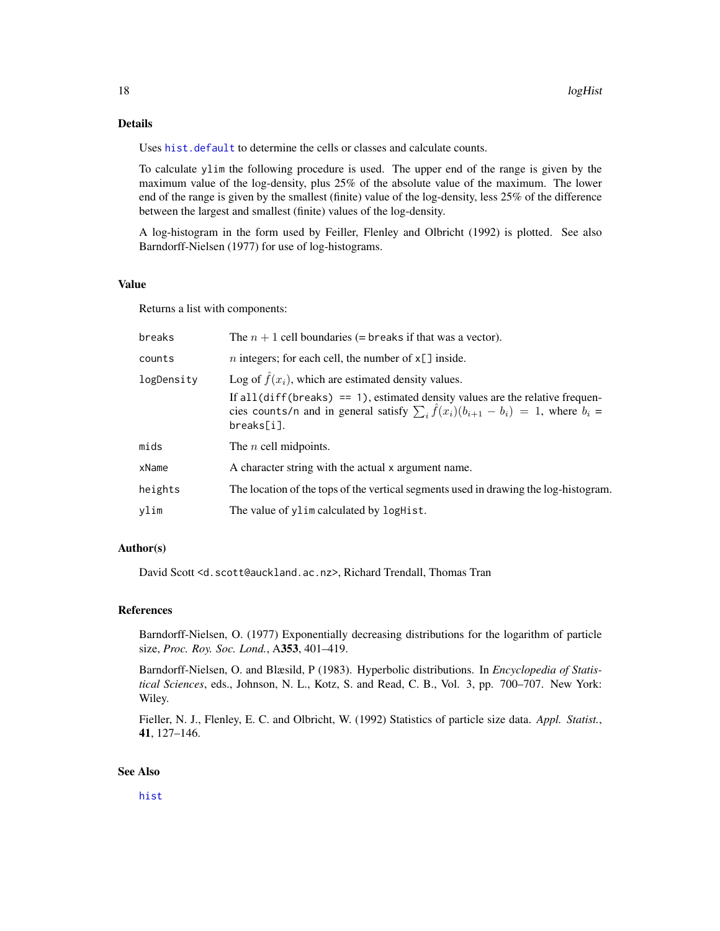# <span id="page-17-0"></span>Details

Uses [hist.default](#page-0-0) to determine the cells or classes and calculate counts.

To calculate ylim the following procedure is used. The upper end of the range is given by the maximum value of the log-density, plus 25% of the absolute value of the maximum. The lower end of the range is given by the smallest (finite) value of the log-density, less 25% of the difference between the largest and smallest (finite) values of the log-density.

A log-histogram in the form used by Feiller, Flenley and Olbricht (1992) is plotted. See also Barndorff-Nielsen (1977) for use of log-histograms.

# Value

Returns a list with components:

| breaks     | The $n + 1$ cell boundaries (= breaks if that was a vector).                                                                                                                                                |
|------------|-------------------------------------------------------------------------------------------------------------------------------------------------------------------------------------------------------------|
| counts     | <i>n</i> integers; for each cell, the number of $x[\ ]$ inside.                                                                                                                                             |
| logDensity | Log of $\hat{f}(x_i)$ , which are estimated density values.                                                                                                                                                 |
|            | If all $\text{diff}(\text{breaks}) = 1$ , estimated density values are the relative frequen-<br>cies counts/n and in general satisfy $\sum_i \hat{f}(x_i)(b_{i+1} - b_i) = 1$ , where $b_i =$<br>breaks[i]. |
| mids       | The <i>n</i> cell midpoints.                                                                                                                                                                                |
| xName      | A character string with the actual x argument name.                                                                                                                                                         |
| heights    | The location of the tops of the vertical segments used in drawing the log-histogram.                                                                                                                        |
| ylim       | The value of ylim calculated by logHist.                                                                                                                                                                    |

# Author(s)

David Scott <d.scott@auckland.ac.nz>, Richard Trendall, Thomas Tran

#### References

Barndorff-Nielsen, O. (1977) Exponentially decreasing distributions for the logarithm of particle size, *Proc. Roy. Soc. Lond.*, A353, 401–419.

Barndorff-Nielsen, O. and Blæsild, P (1983). Hyperbolic distributions. In *Encyclopedia of Statistical Sciences*, eds., Johnson, N. L., Kotz, S. and Read, C. B., Vol. 3, pp. 700–707. New York: Wiley.

Fieller, N. J., Flenley, E. C. and Olbricht, W. (1992) Statistics of particle size data. *Appl. Statist.*, 41, 127–146.

### See Also

[hist](#page-0-0)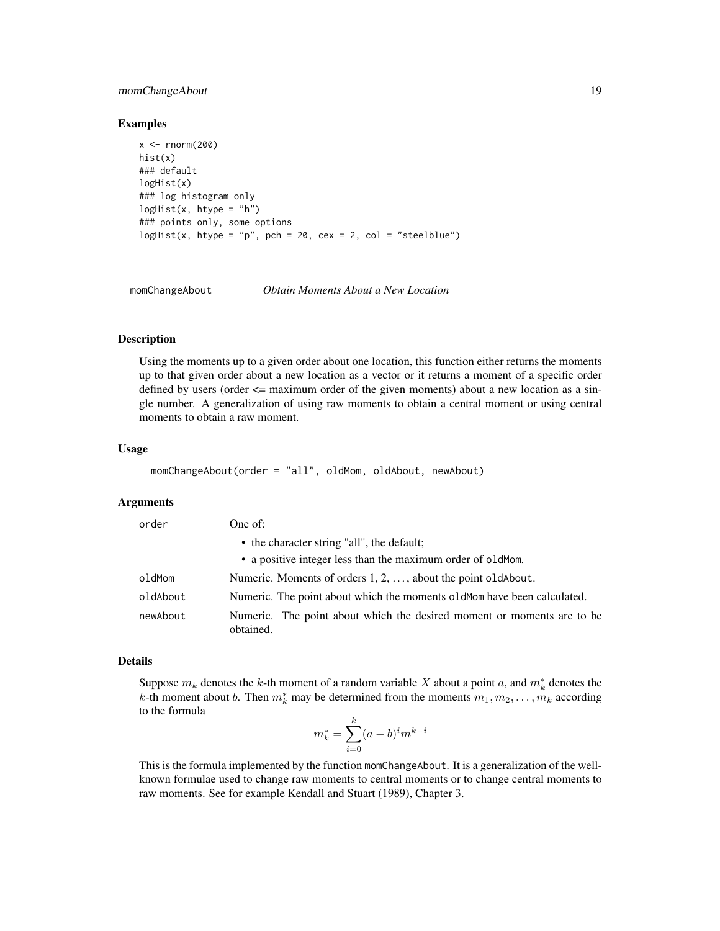# <span id="page-18-0"></span>momChangeAbout 19

#### Examples

```
x < - rnorm(200)
hist(x)
### default
logHist(x)
### log histogram only
logHist(x, htype = "h")### points only, some options
logHist(x, htype = "p", pch = 20, cex = 2, col = "steelblue")
```
<span id="page-18-1"></span>

momChangeAbout *Obtain Moments About a New Location*

#### Description

Using the moments up to a given order about one location, this function either returns the moments up to that given order about a new location as a vector or it returns a moment of a specific order defined by users (order  $\leq$  maximum order of the given moments) about a new location as a single number. A generalization of using raw moments to obtain a central moment or using central moments to obtain a raw moment.

#### Usage

```
momChangeAbout(order = "all", oldMom, oldAbout, newAbout)
```
#### Arguments

| order    | One of:                                                                             |
|----------|-------------------------------------------------------------------------------------|
|          | • the character string "all", the default;                                          |
|          | • a positive integer less than the maximum order of old Mom.                        |
| oldMom   | Numeric. Moments of orders $1, 2, \ldots$ , about the point old About.              |
| oldAbout | Numeric. The point about which the moments oldMom have been calculated.             |
| newAbout | Numeric. The point about which the desired moment or moments are to be<br>obtained. |

#### Details

Suppose  $m_k$  denotes the k-th moment of a random variable X about a point a, and  $m_k^*$  denotes the k-th moment about b. Then  $m_k^*$  may be determined from the moments  $m_1, m_2, \ldots, m_k$  according to the formula

$$
m_k^* = \sum_{i=0}^k (a-b)^i m^{k-i}
$$

This is the formula implemented by the function momChangeAbout. It is a generalization of the wellknown formulae used to change raw moments to central moments or to change central moments to raw moments. See for example Kendall and Stuart (1989), Chapter 3.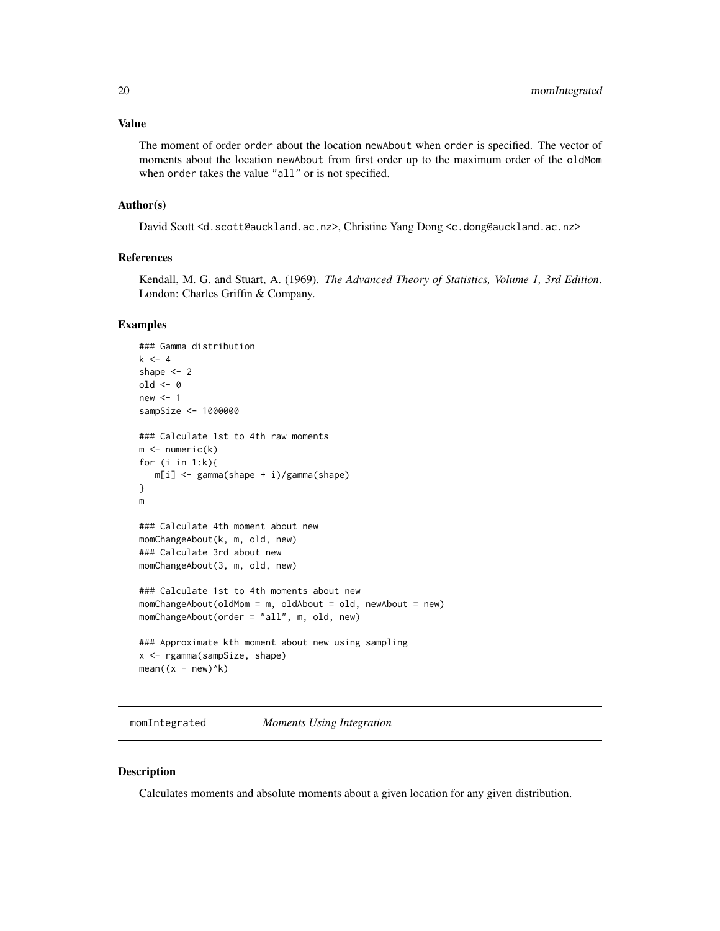<span id="page-19-0"></span>The moment of order order about the location newAbout when order is specified. The vector of moments about the location newAbout from first order up to the maximum order of the oldMom when order takes the value "all" or is not specified.

#### Author(s)

David Scott <d.scott@auckland.ac.nz>, Christine Yang Dong <c.dong@auckland.ac.nz>

# References

Kendall, M. G. and Stuart, A. (1969). *The Advanced Theory of Statistics, Volume 1, 3rd Edition*. London: Charles Griffin & Company.

#### Examples

```
### Gamma distribution
k < -4shape <-2old <- 0
new < - 1sampSize <- 1000000
### Calculate 1st to 4th raw moments
m \leftarrow numeric(k)
for (i in 1:k){
   m[i] <- gamma(shape + i)/gamma(shape)
}
m
### Calculate 4th moment about new
momChangeAbout(k, m, old, new)
### Calculate 3rd about new
momChangeAbout(3, m, old, new)
### Calculate 1st to 4th moments about new
momChangeAbout(oldMom = m, oldAbout = old, newAbout = new)
momChangeAbout(order = "all", m, old, new)
### Approximate kth moment about new using sampling
x <- rgamma(sampSize, shape)
mean((x - new)^{k})
```
<span id="page-19-1"></span>momIntegrated *Moments Using Integration*

### Description

Calculates moments and absolute moments about a given location for any given distribution.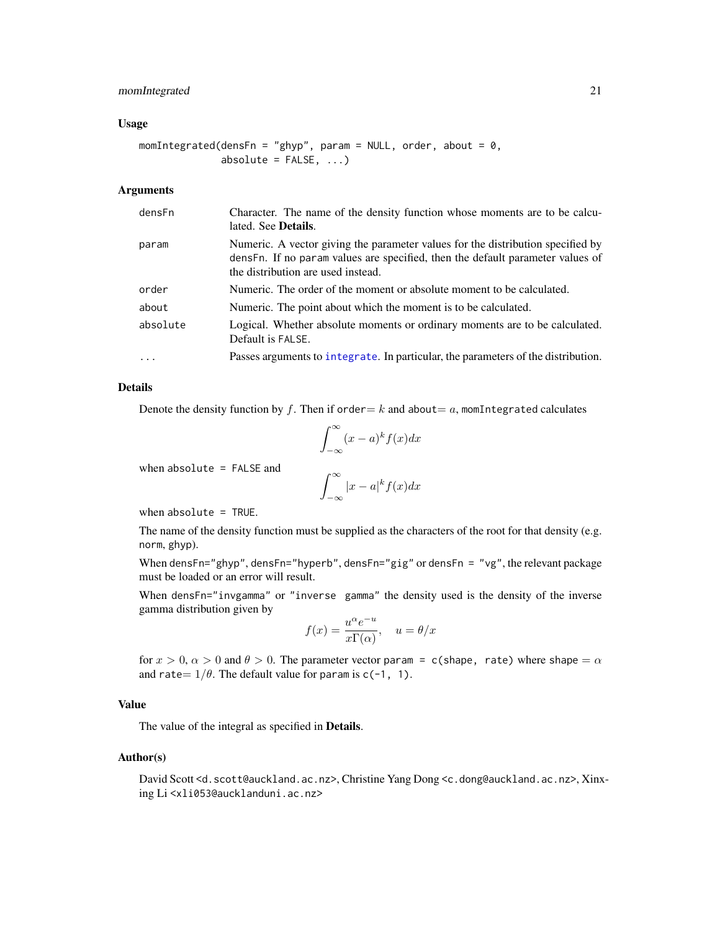# <span id="page-20-0"></span>momIntegrated 21

#### Usage

momIntegrated(densFn = "ghyp", param = NULL, order, about =  $0$ , absolute =  $FALSE, ...)$ 

# Arguments

| densFn   | Character. The name of the density function whose moments are to be calcu-<br>lated. See <b>Details</b> .                                                                                                |
|----------|----------------------------------------------------------------------------------------------------------------------------------------------------------------------------------------------------------|
| param    | Numeric. A vector giving the parameter values for the distribution specified by<br>dens Fn. If no param values are specified, then the default parameter values of<br>the distribution are used instead. |
| order    | Numeric. The order of the moment or absolute moment to be calculated.                                                                                                                                    |
| about    | Numeric. The point about which the moment is to be calculated.                                                                                                                                           |
| absolute | Logical. Whether absolute moments or ordinary moments are to be calculated.<br>Default is FALSE.                                                                                                         |
| $\cdots$ | Passes arguments to integrate. In particular, the parameters of the distribution.                                                                                                                        |

# Details

Denote the density function by f. Then if order  $=k$  and about  $=a$ , momIntegrated calculates

$$
\int_{-\infty}^{\infty} (x-a)^k f(x) dx
$$

when absolute = FALSE and

$$
\int_{-\infty}^{\infty} |x - a|^k f(x) dx
$$

when absolute = TRUE.

The name of the density function must be supplied as the characters of the root for that density (e.g. norm, ghyp).

When densFn="ghyp", densFn="hyperb", densFn="gig" or densFn = "vg", the relevant package must be loaded or an error will result.

When densFn="invgamma" or "inverse gamma" the density used is the density of the inverse gamma distribution given by

$$
f(x) = \frac{u^{\alpha}e^{-u}}{x\Gamma(\alpha)}, \quad u = \theta/x
$$

for  $x > 0$ ,  $\alpha > 0$  and  $\theta > 0$ . The parameter vector param = c(shape, rate) where shape =  $\alpha$ and rate =  $1/\theta$ . The default value for param is c(-1, 1).

# Value

The value of the integral as specified in Details.

#### Author(s)

David Scott <d.scott@auckland.ac.nz>, Christine Yang Dong <c.dong@auckland.ac.nz>, Xinxing Li <xli053@aucklanduni.ac.nz>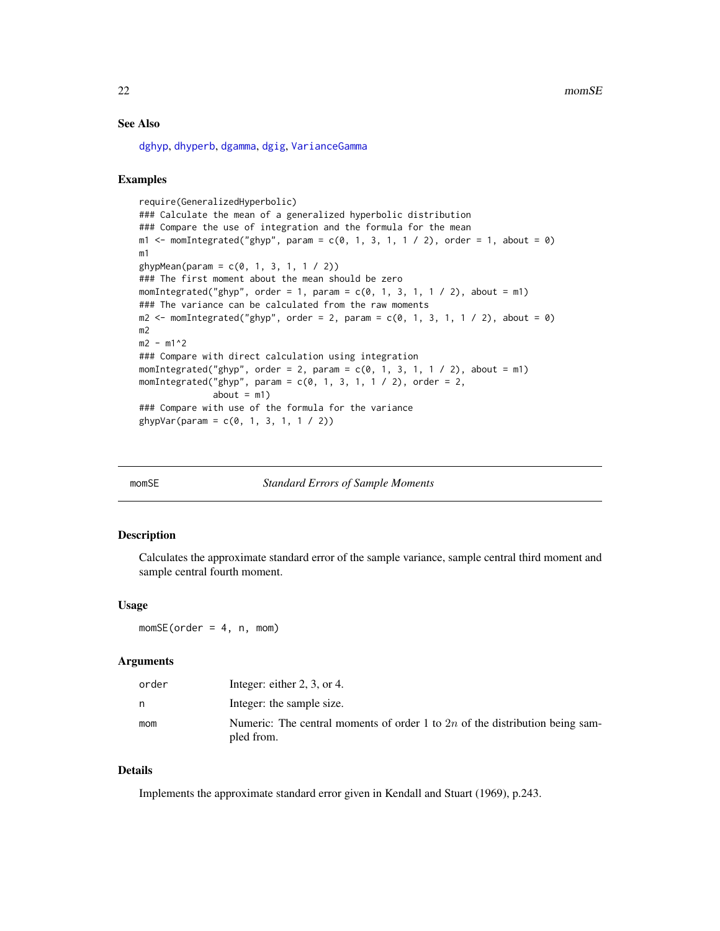22 momSE

# See Also

[dghyp](#page-0-0), [dhyperb](#page-0-0), [dgamma](#page-0-0), [dgig](#page-0-0), [VarianceGamma](#page-0-0)

#### Examples

require(GeneralizedHyperbolic) ### Calculate the mean of a generalized hyperbolic distribution ### Compare the use of integration and the formula for the mean m1 <- momIntegrated("ghyp", param =  $c(0, 1, 3, 1, 1 / 2)$ , order = 1, about = 0) m1  $g$ hypMean(param =  $c(0, 1, 3, 1, 1 / 2)$ ) ### The first moment about the mean should be zero momIntegrated("ghyp", order = 1, param =  $c(0, 1, 3, 1, 1 / 2)$ , about = m1) ### The variance can be calculated from the raw moments  $m2 < -$  momIntegrated("ghyp", order = 2, param =  $c(0, 1, 3, 1, 1 / 2)$ , about = 0) m2  $m2 - m1^2$ ### Compare with direct calculation using integration momIntegrated("ghyp", order = 2, param =  $c(0, 1, 3, 1, 1 / 2)$ , about = m1) momIntegrated("ghyp", param =  $c(0, 1, 3, 1, 1 / 2)$ , order = 2,  $about = m1)$ ### Compare with use of the formula for the variance  $g$ hypVar(param = c(0, 1, 3, 1, 1 / 2))

| ИI |
|----|
|----|

**Standard Errors of Sample Moments** 

#### Description

Calculates the approximate standard error of the sample variance, sample central third moment and sample central fourth moment.

#### Usage

 $momSE(order = 4, n, mom)$ 

#### Arguments

| order | Integer: either $2, 3$ , or 4.                                                               |
|-------|----------------------------------------------------------------------------------------------|
| n     | Integer: the sample size.                                                                    |
| mom   | Numeric: The central moments of order 1 to $2n$ of the distribution being sam-<br>pled from. |

# Details

Implements the approximate standard error given in Kendall and Stuart (1969), p.243.

<span id="page-21-0"></span>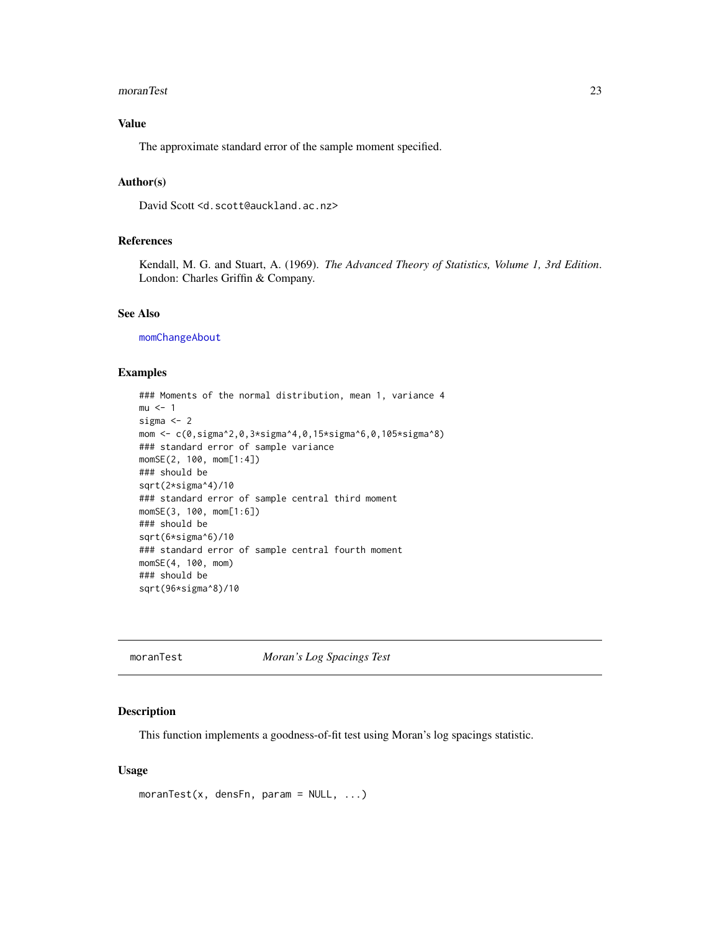#### <span id="page-22-0"></span>moranTest 23

# Value

The approximate standard error of the sample moment specified.

### Author(s)

David Scott <d.scott@auckland.ac.nz>

#### References

Kendall, M. G. and Stuart, A. (1969). *The Advanced Theory of Statistics, Volume 1, 3rd Edition*. London: Charles Griffin & Company.

#### See Also

[momChangeAbout](#page-18-1)

#### Examples

```
### Moments of the normal distribution, mean 1, variance 4
mu < -1sigma <- 2
mom <- c(0,sigma^2,0,3*sigma^4,0,15*sigma^6,0,105*sigma^8)
### standard error of sample variance
momSE(2, 100, mom[1:4])
### should be
sqrt(2*sigma^4)/10
### standard error of sample central third moment
momSE(3, 100, mom[1:6])
### should be
sqrt(6*sigma^6)/10
### standard error of sample central fourth moment
momSE(4, 100, mom)
### should be
sqrt(96*sigma^8)/10
```
moranTest *Moran's Log Spacings Test*

### Description

This function implements a goodness-of-fit test using Moran's log spacings statistic.

# Usage

```
moranTest(x, densFn, param = NULL, ...)
```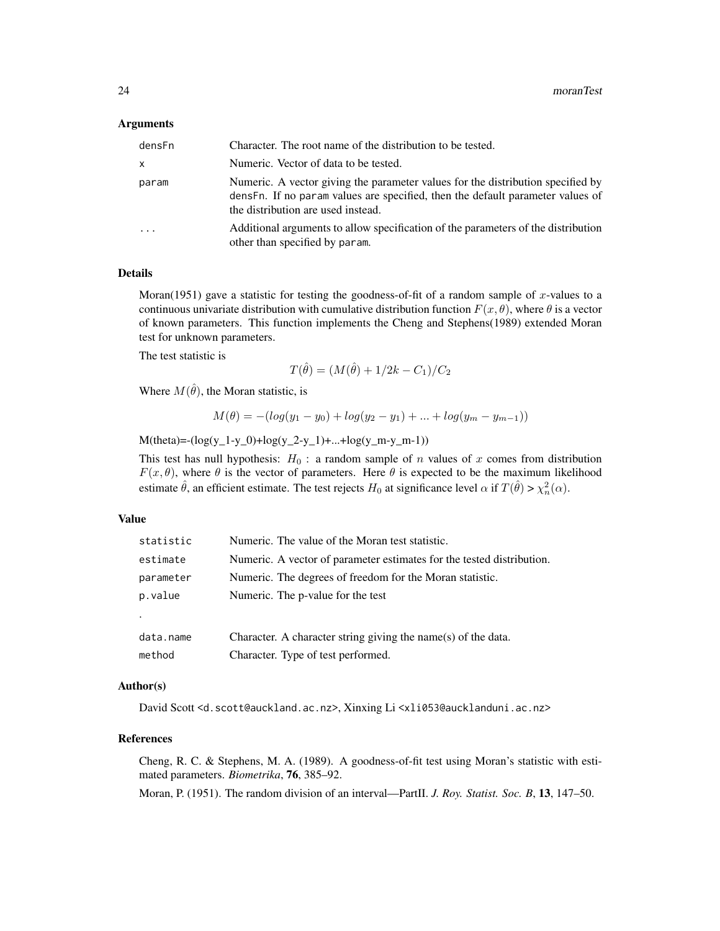#### **Arguments**

| densFn    | Character. The root name of the distribution to be tested.                                                                                                                                              |
|-----------|---------------------------------------------------------------------------------------------------------------------------------------------------------------------------------------------------------|
| X         | Numeric. Vector of data to be tested.                                                                                                                                                                   |
| param     | Numeric. A vector giving the parameter values for the distribution specified by<br>densFn. If no param values are specified, then the default parameter values of<br>the distribution are used instead. |
| $\ddotsc$ | Additional arguments to allow specification of the parameters of the distribution<br>other than specified by param.                                                                                     |

#### Details

Moran(1951) gave a statistic for testing the goodness-of-fit of a random sample of  $x$ -values to a continuous univariate distribution with cumulative distribution function  $F(x, \theta)$ , where  $\theta$  is a vector of known parameters. This function implements the Cheng and Stephens(1989) extended Moran test for unknown parameters.

The test statistic is

$$
T(\hat{\theta}) = (M(\hat{\theta}) + 1/2k - C_1)/C_2
$$

Where  $M(\hat{\theta})$ , the Moran statistic, is

$$
M(\theta) = -(log(y_1 - y_0) + log(y_2 - y_1) + ... + log(y_m - y_{m-1}))
$$

 $M(theta) = -(log(y_1-y_0)+log(y_2-y_1)+...+log(y_m-y_m-1))$ 

This test has null hypothesis:  $H_0$ : a random sample of n values of x comes from distribution  $F(x, \theta)$ , where  $\theta$  is the vector of parameters. Here  $\theta$  is expected to be the maximum likelihood estimate  $\hat{\theta}$ , an efficient estimate. The test rejects  $H_0$  at significance level  $\alpha$  if  $T(\hat{\theta}) > \chi^2_n(\alpha)$ .

# Value

| statistic | Numeric. The value of the Moran test statistic.                       |
|-----------|-----------------------------------------------------------------------|
| estimate  | Numeric. A vector of parameter estimates for the tested distribution. |
| parameter | Numeric. The degrees of freedom for the Moran statistic.              |
| p.value   | Numeric. The p-value for the test                                     |
| ٠         |                                                                       |
| data.name | Character. A character string giving the name(s) of the data.         |
| method    | Character. Type of test performed.                                    |

# Author(s)

David Scott <d.scott@auckland.ac.nz>, Xinxing Li <xli053@aucklanduni.ac.nz>

#### References

Cheng, R. C. & Stephens, M. A. (1989). A goodness-of-fit test using Moran's statistic with estimated parameters. *Biometrika*, 76, 385–92.

Moran, P. (1951). The random division of an interval—PartII. *J. Roy. Statist. Soc. B*, 13, 147–50.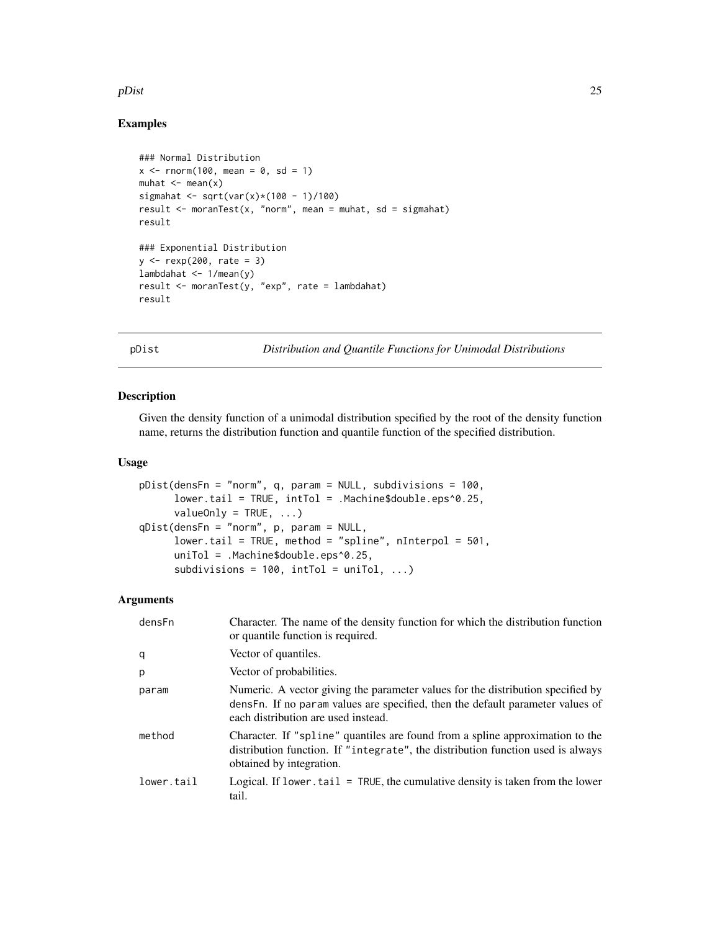#### <span id="page-24-0"></span>pDist 25

# Examples

```
### Normal Distribution
x \le rnorm(100, mean = 0, sd = 1)
muhat \leq mean(x)
sigmahat <- sqrt(var(x)*(100 - 1)/100)
result \leq moranTest(x, "norm", mean = muhat, sd = sigmahat)
result
### Exponential Distribution
y \le - rexp(200, rate = 3)
lambdahat <- 1/mean(y)
result <- moranTest(y, "exp", rate = lambdahat)
result
```
pDist *Distribution and Quantile Functions for Unimodal Distributions*

#### <span id="page-24-1"></span>Description

Given the density function of a unimodal distribution specified by the root of the density function name, returns the distribution function and quantile function of the specified distribution.

#### Usage

```
pDist(densFn = "norm", q, param = NULL, subdivisions = 100,
     lower.tail = TRUE, intTol = .Machine$double.eps^0.25,
     valueOnly = TRUE, ...)qDist(densFn = "norm", p, param = NULL,
     lower.tail = TRUE, method = "spline", nInterpol = 501,
     uniTol = .Machine$double.eps^0.25,
     subdivisions = 100, intTol = uniTol, ...)
```
# Arguments

| densFn     | Character. The name of the density function for which the distribution function<br>or quantile function is required.                                                                                      |
|------------|-----------------------------------------------------------------------------------------------------------------------------------------------------------------------------------------------------------|
| q          | Vector of quantiles.                                                                                                                                                                                      |
| p          | Vector of probabilities.                                                                                                                                                                                  |
| param      | Numeric. A vector giving the parameter values for the distribution specified by<br>dens Fn. If no param values are specified, then the default parameter values of<br>each distribution are used instead. |
| method     | Character. If "spline" quantiles are found from a spline approximation to the<br>distribution function. If "integrate", the distribution function used is always<br>obtained by integration.              |
| lower.tail | Logical. If lower, $tail = TRUE$ , the cumulative density is taken from the lower<br>tail.                                                                                                                |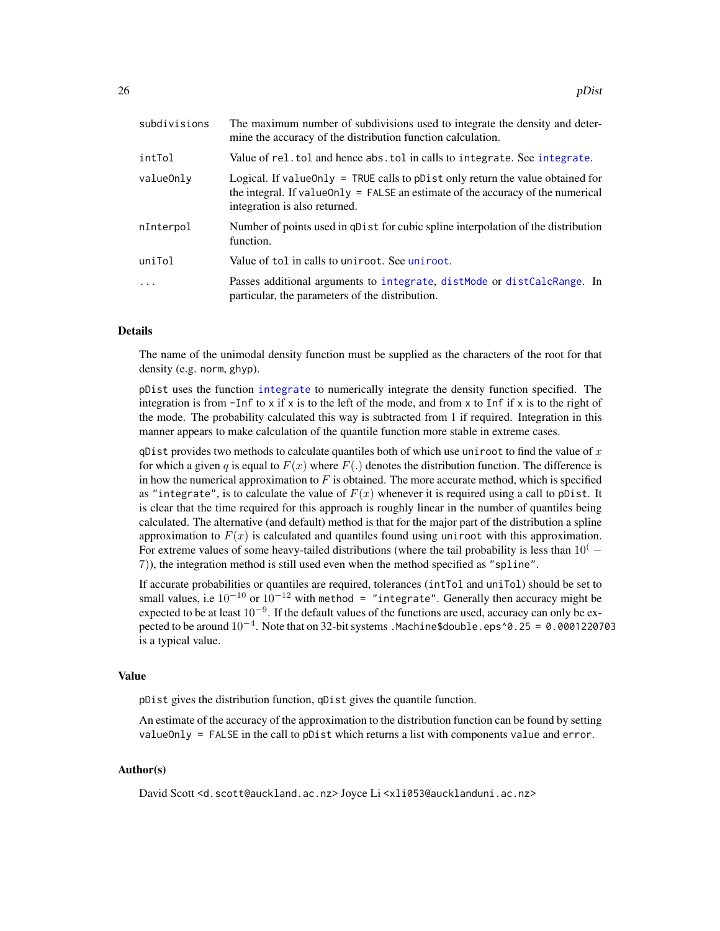<span id="page-25-0"></span>

| subdivisions | The maximum number of subdivisions used to integrate the density and deter-<br>mine the accuracy of the distribution function calculation.                                                             |
|--------------|--------------------------------------------------------------------------------------------------------------------------------------------------------------------------------------------------------|
| intTol       | Value of rel. tol and hence abs. tol in calls to integrate. See integrate.                                                                                                                             |
| valueOnly    | Logical. If value Only $=$ TRUE calls to pDist only return the value obtained for<br>the integral. If value Only = FALSE an estimate of the accuracy of the numerical<br>integration is also returned. |
| nInterpol    | Number of points used in qDist for cubic spline interpolation of the distribution<br>function.                                                                                                         |
| uniTol       | Value of tol in calls to uniroot. See uniroot.                                                                                                                                                         |
| $\cdot$      | Passes additional arguments to integrate, distMode or distCalcRange. In<br>particular, the parameters of the distribution.                                                                             |

#### Details

The name of the unimodal density function must be supplied as the characters of the root for that density (e.g. norm, ghyp).

pDist uses the function [integrate](#page-0-0) to numerically integrate the density function specified. The integration is from  $\text{-}$ Inf to x if x is to the left of the mode, and from x to Inf if x is to the right of the mode. The probability calculated this way is subtracted from 1 if required. Integration in this manner appears to make calculation of the quantile function more stable in extreme cases.

qDist provides two methods to calculate quantiles both of which use uniroot to find the value of  $x$ for which a given q is equal to  $F(x)$  where  $F(.)$  denotes the distribution function. The difference is in how the numerical approximation to  $F$  is obtained. The more accurate method, which is specified as "integrate", is to calculate the value of  $F(x)$  whenever it is required using a call to pDist. It is clear that the time required for this approach is roughly linear in the number of quantiles being calculated. The alternative (and default) method is that for the major part of the distribution a spline approximation to  $F(x)$  is calculated and quantiles found using uniroot with this approximation. For extreme values of some heavy-tailed distributions (where the tail probability is less than  $10<sup>(</sup> -$ 7)), the integration method is still used even when the method specified as "spline".

If accurate probabilities or quantiles are required, tolerances (intTol and uniTol) should be set to small values, i.e  $10^{-10}$  or  $10^{-12}$  with method = "integrate". Generally then accuracy might be expected to be at least  $10^{-9}$ . If the default values of the functions are used, accuracy can only be expected to be around  $10^{-4}$ . Note that on 32-bit systems . Machine\$double . eps^0.25 = 0.0001220703 is a typical value.

#### Value

pDist gives the distribution function, qDist gives the quantile function.

An estimate of the accuracy of the approximation to the distribution function can be found by setting valueOnly = FALSE in the call to pDist which returns a list with components value and error.

#### Author(s)

David Scott <d.scott@auckland.ac.nz> Joyce Li <xli053@aucklanduni.ac.nz>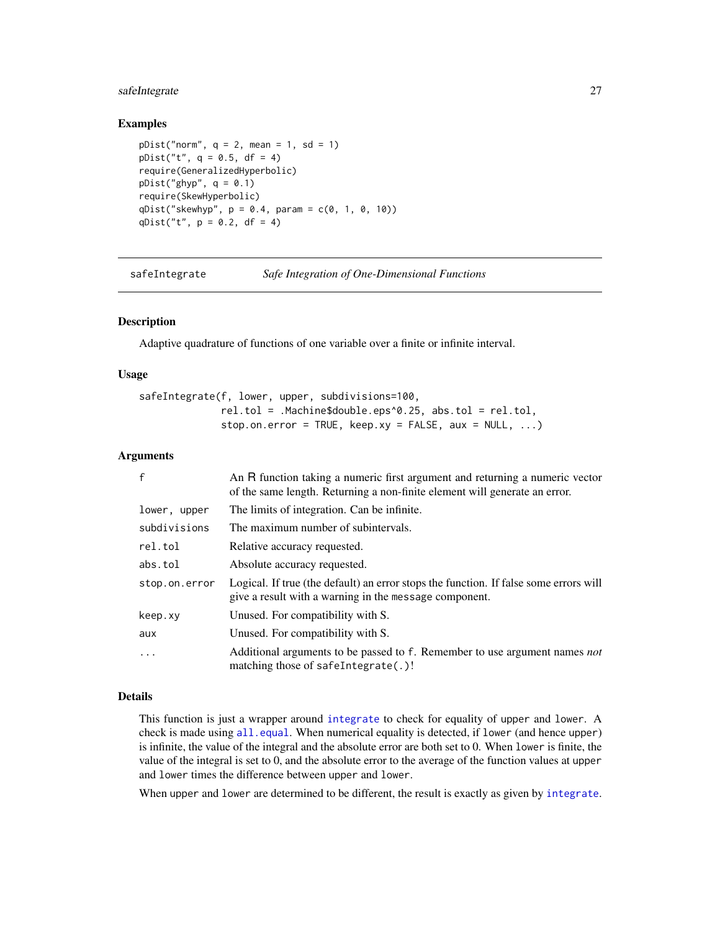# <span id="page-26-0"></span>safeIntegrate 27

#### Examples

```
pDist("norm", q = 2, mean = 1, sd = 1)pDist("t", q = 0.5, df = 4)require(GeneralizedHyperbolic)
pDist("ghyp", q = 0.1)require(SkewHyperbolic)
qDist("skewhyp", p = 0.4, param = c(0, 1, 0, 10))qDist("t", p = 0.2, df = 4)
```
safeIntegrate *Safe Integration of One-Dimensional Functions*

#### **Description**

Adaptive quadrature of functions of one variable over a finite or infinite interval.

#### Usage

safeIntegrate(f, lower, upper, subdivisions=100, rel.tol = .Machine\$double.eps^0.25, abs.tol = rel.tol, stop.on.error = TRUE, keep.xy = FALSE, aux =  $NULL, ...)$ 

# Arguments

| $\mathbf{f}$  | An R function taking a numeric first argument and returning a numeric vector<br>of the same length. Returning a non-finite element will generate an error. |
|---------------|------------------------------------------------------------------------------------------------------------------------------------------------------------|
| lower, upper  | The limits of integration. Can be infinite.                                                                                                                |
| subdivisions  | The maximum number of subintervals.                                                                                                                        |
| rel.tol       | Relative accuracy requested.                                                                                                                               |
| abs.tol       | Absolute accuracy requested.                                                                                                                               |
| stop.on.error | Logical. If true (the default) an error stops the function. If false some errors will<br>give a result with a warning in the message component.            |
| keep.xy       | Unused. For compatibility with S.                                                                                                                          |
| aux           | Unused. For compatibility with S.                                                                                                                          |
| $\cdot$       | Additional arguments to be passed to f. Remember to use argument names not<br>matching those of safeIntegrate(.)!                                          |

# Details

This function is just a wrapper around [integrate](#page-0-0) to check for equality of upper and lower. A check is made using  $all$ . equal. When numerical equality is detected, if lower (and hence upper) is infinite, the value of the integral and the absolute error are both set to 0. When lower is finite, the value of the integral is set to 0, and the absolute error to the average of the function values at upper and lower times the difference between upper and lower.

When upper and lower are determined to be different, the result is exactly as given by [integrate](#page-0-0).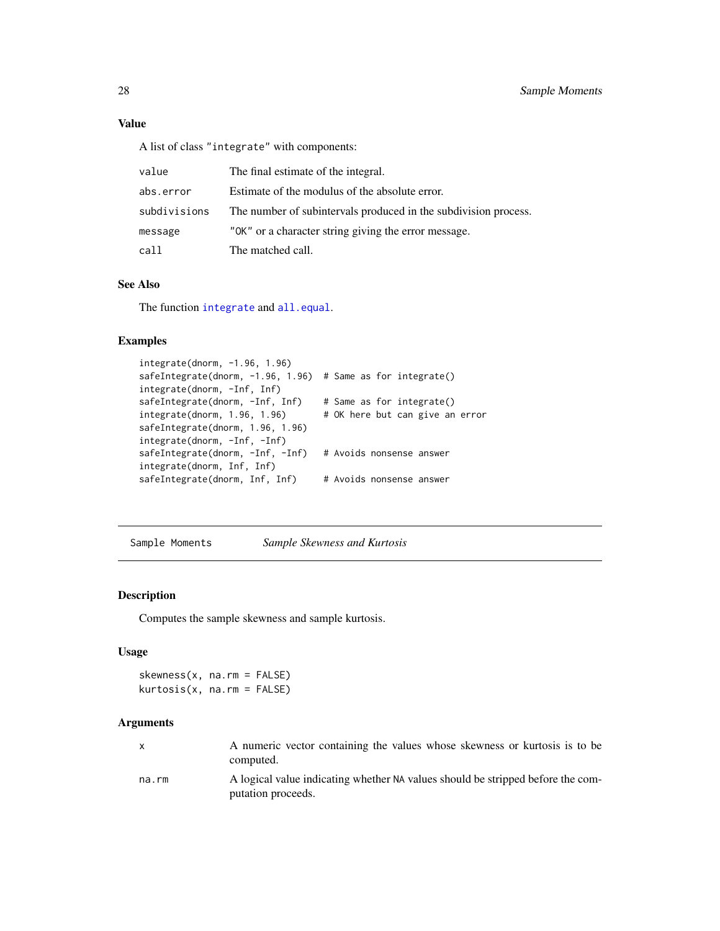# <span id="page-27-0"></span>Value

A list of class "integrate" with components:

| value        | The final estimate of the integral.                             |
|--------------|-----------------------------------------------------------------|
| abs.error    | Estimate of the modulus of the absolute error.                  |
| subdivisions | The number of subintervals produced in the subdivision process. |
| message      | "OK" or a character string giving the error message.            |
| call         | The matched call.                                               |

# See Also

The function [integrate](#page-0-0) and [all.equal](#page-0-0).

### Examples

```
integrate(dnorm, -1.96, 1.96)
safeIntegrate(dnorm, -1.96, 1.96) # Same as for integrate()
integrate(dnorm, -Inf, Inf)
safeIntegrate(dnorm, -Inf, Inf) # Same as for integrate()
integrate(dnorm, 1.96, 1.96) # OK here but can give an error
safeIntegrate(dnorm, 1.96, 1.96)
integrate(dnorm, -Inf, -Inf)
safeIntegrate(dnorm, -Inf, -Inf) # Avoids nonsense answer
integrate(dnorm, Inf, Inf)
safeIntegrate(dnorm, Inf, Inf) # Avoids nonsense answer
```
Sample Moments *Sample Skewness and Kurtosis*

# Description

Computes the sample skewness and sample kurtosis.

# Usage

```
skewness(x, na.rm = FALSE)
kurtosis(x, na.rm = FALSE)
```
#### Arguments

| X     | A numeric vector containing the values whose skewness or kurtosis is to be<br>computed.               |
|-------|-------------------------------------------------------------------------------------------------------|
| na.rm | A logical value indicating whether NA values should be stripped before the com-<br>putation proceeds. |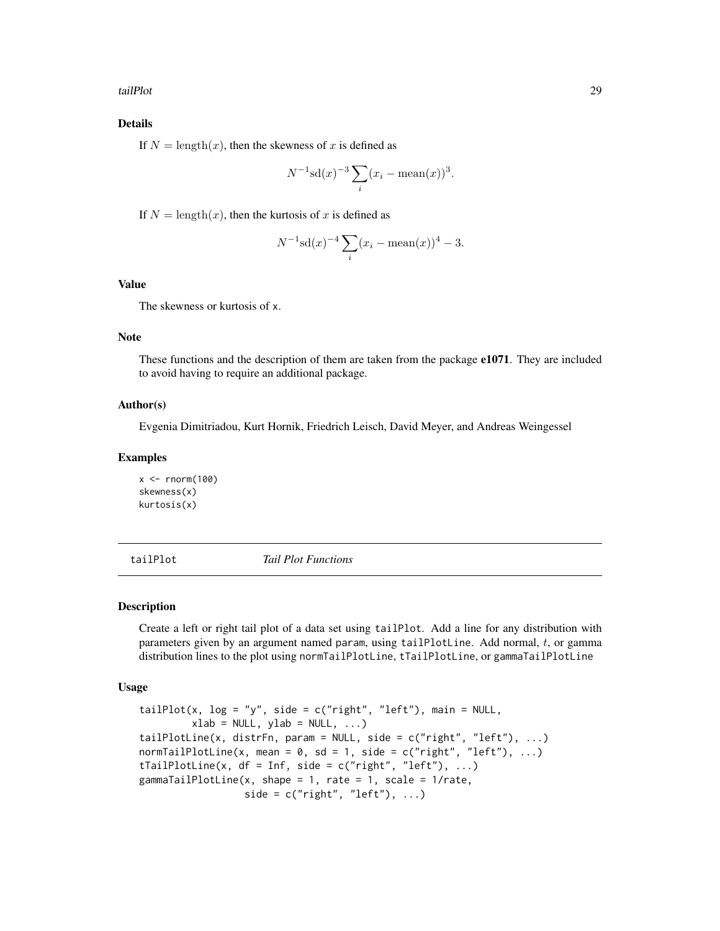<span id="page-28-0"></span>tailPlot 29

# Details

If  $N = \text{length}(x)$ , then the skewness of x is defined as

$$
N^{-1}\mathrm{sd}(x)^{-3}\sum_{i}(x_i - \mathrm{mean}(x))^3.
$$

If  $N = \text{length}(x)$ , then the kurtosis of x is defined as

$$
N^{-1}\mathrm{sd}(x)^{-4}\sum_{i}(x_i - \mathrm{mean}(x))^4 - 3.
$$

# Value

The skewness or kurtosis of x.

#### Note

These functions and the description of them are taken from the package e1071. They are included to avoid having to require an additional package.

#### Author(s)

Evgenia Dimitriadou, Kurt Hornik, Friedrich Leisch, David Meyer, and Andreas Weingessel

#### Examples

 $x < -$  rnorm(100) skewness(x) kurtosis(x)

tailPlot *Tail Plot Functions*

#### Description

Create a left or right tail plot of a data set using tailPlot. Add a line for any distribution with parameters given by an argument named param, using tailPlotLine. Add normal, t, or gamma distribution lines to the plot using normTailPlotLine, tTailPlotLine, or gammaTailPlotLine

#### Usage

```
tailPlot(x, log = "y", side = c("right", "left"), main = NULL,
        xlab = NULL, ylab = NULL, ...)tailPlotLine(x, distrFn, param = NULL, side = c("right", "left"), ...)
normTailPlotLine(x, mean = 0, sd = 1, side = c("right", "left"), ...)
tTailPlotLine(x, df = Inf, side = c("right", "left"), ...)
gammaTailPlotLine(x, shape = 1, rate = 1, scale = 1/rate,
                  side = c("right", "left"), ...)
```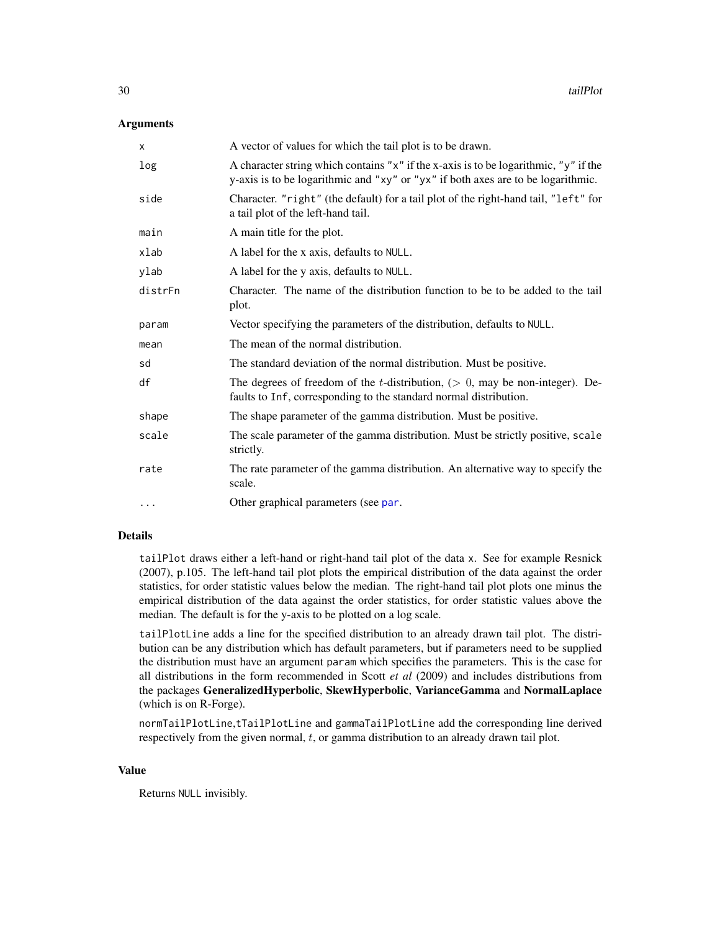#### <span id="page-29-0"></span>Arguments

| X        | A vector of values for which the tail plot is to be drawn.                                                                                                                       |
|----------|----------------------------------------------------------------------------------------------------------------------------------------------------------------------------------|
| log      | A character string which contains " $x$ " if the x-axis is to be logarithmic, " $y$ " if the<br>y-axis is to be logarithmic and "xy" or "yx" if both axes are to be logarithmic. |
| side     | Character. "right" (the default) for a tail plot of the right-hand tail, "left" for<br>a tail plot of the left-hand tail.                                                        |
| main     | A main title for the plot.                                                                                                                                                       |
| xlab     | A label for the x axis, defaults to NULL.                                                                                                                                        |
| ylab     | A label for the y axis, defaults to NULL.                                                                                                                                        |
| distrFn  | Character. The name of the distribution function to be to be added to the tail<br>plot.                                                                                          |
| param    | Vector specifying the parameters of the distribution, defaults to NULL.                                                                                                          |
| mean     | The mean of the normal distribution.                                                                                                                                             |
| sd       | The standard deviation of the normal distribution. Must be positive.                                                                                                             |
| df       | The degrees of freedom of the <i>t</i> -distribution, $(0, \text{may be non-integer})$ . De-<br>faults to Inf, corresponding to the standard normal distribution.                |
| shape    | The shape parameter of the gamma distribution. Must be positive.                                                                                                                 |
| scale    | The scale parameter of the gamma distribution. Must be strictly positive, scale<br>strictly.                                                                                     |
| rate     | The rate parameter of the gamma distribution. An alternative way to specify the<br>scale.                                                                                        |
| $\cdots$ | Other graphical parameters (see par.                                                                                                                                             |

#### Details

tailPlot draws either a left-hand or right-hand tail plot of the data x. See for example Resnick (2007), p.105. The left-hand tail plot plots the empirical distribution of the data against the order statistics, for order statistic values below the median. The right-hand tail plot plots one minus the empirical distribution of the data against the order statistics, for order statistic values above the median. The default is for the y-axis to be plotted on a log scale.

tailPlotLine adds a line for the specified distribution to an already drawn tail plot. The distribution can be any distribution which has default parameters, but if parameters need to be supplied the distribution must have an argument param which specifies the parameters. This is the case for all distributions in the form recommended in Scott *et al* (2009) and includes distributions from the packages GeneralizedHyperbolic, SkewHyperbolic, VarianceGamma and NormalLaplace (which is on R-Forge).

normTailPlotLine,tTailPlotLine and gammaTailPlotLine add the corresponding line derived respectively from the given normal,  $t$ , or gamma distribution to an already drawn tail plot.

# Value

Returns NULL invisibly.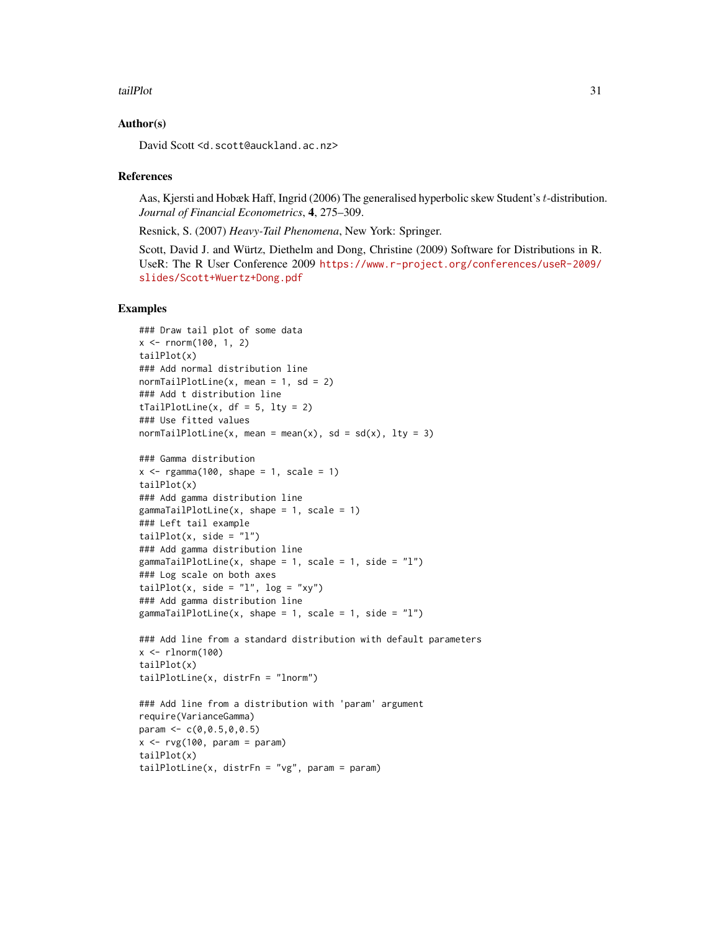#### tailPlot 31

#### Author(s)

David Scott <d.scott@auckland.ac.nz>

#### References

Aas, Kjersti and Hobæk Haff, Ingrid (2006) The generalised hyperbolic skew Student's t-distribution. *Journal of Financial Econometrics*, 4, 275–309.

Resnick, S. (2007) *Heavy-Tail Phenomena*, New York: Springer.

Scott, David J. and Würtz, Diethelm and Dong, Christine (2009) Software for Distributions in R. UseR: The R User Conference 2009 [https://www.r-project.org/conferences/useR-2009/](https://www.r-project.org/conferences/useR-2009/slides/Scott+Wuertz+Dong.pdf) [slides/Scott+Wuertz+Dong.pdf](https://www.r-project.org/conferences/useR-2009/slides/Scott+Wuertz+Dong.pdf)

# Examples

```
### Draw tail plot of some data
x <- rnorm(100, 1, 2)
tailPlot(x)
### Add normal distribution line
normalPlotline(x, mean = 1, sd = 2)### Add t distribution line
tTailPlotLine(x, df = 5, lty = 2)
### Use fitted values
normTailPlotLine(x, mean = mean(x), sd = sd(x), lty = 3)
### Gamma distribution
x \leq - \text{rgamma}(100, \text{ shape} = 1, \text{ scale} = 1)tailPlot(x)
### Add gamma distribution line
gammaTailPlotLine(x, shape = 1, scale = 1)
### Left tail example
tailPlot(x, side = "l")### Add gamma distribution line
gammaTailPlotLine(x, shape = 1, scale = 1, side = "1")
### Log scale on both axes
tailPlot(x, side = "1", log = "xy")
### Add gamma distribution line
gammaTailPlotLine(x, shape = 1, scale = 1, side = "1")
### Add line from a standard distribution with default parameters
x \leq -\text{rlnorm}(100)tailPlot(x)
tailPlotLine(x, distrFn = "lnorm")
### Add line from a distribution with 'param' argument
require(VarianceGamma)
param <- c(0,0.5,0,0.5)
x \leftarrow ryg(100, param = param)tailPlot(x)
```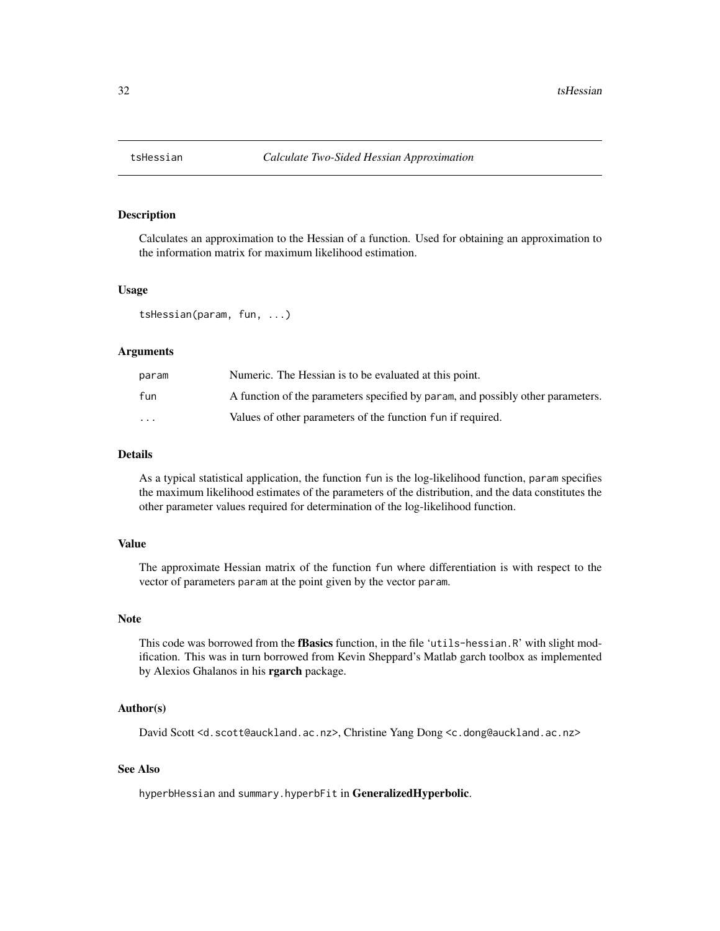<span id="page-31-0"></span>

# Description

Calculates an approximation to the Hessian of a function. Used for obtaining an approximation to the information matrix for maximum likelihood estimation.

### Usage

tsHessian(param, fun, ...)

#### Arguments

| param    | Numeric. The Hessian is to be evaluated at this point.                          |
|----------|---------------------------------------------------------------------------------|
| fun      | A function of the parameters specified by param, and possibly other parameters. |
| $\cdots$ | Values of other parameters of the function fun if required.                     |

# Details

As a typical statistical application, the function fun is the log-likelihood function, param specifies the maximum likelihood estimates of the parameters of the distribution, and the data constitutes the other parameter values required for determination of the log-likelihood function.

# Value

The approximate Hessian matrix of the function fun where differentiation is with respect to the vector of parameters param at the point given by the vector param.

#### Note

This code was borrowed from the fBasics function, in the file 'utils-hessian.R' with slight modification. This was in turn borrowed from Kevin Sheppard's Matlab garch toolbox as implemented by Alexios Ghalanos in his rgarch package.

#### Author(s)

David Scott <d.scott@auckland.ac.nz>, Christine Yang Dong <c.dong@auckland.ac.nz>

#### See Also

hyperbHessian and summary.hyperbFit in GeneralizedHyperbolic.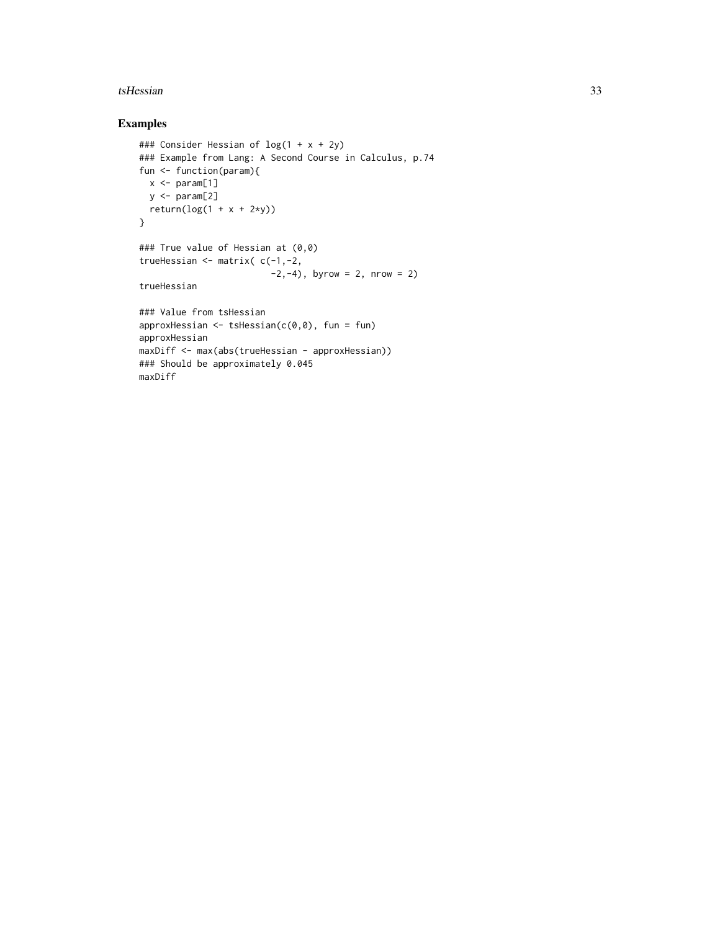#### tsHessian 33

# Examples

```
### Consider Hessian of log(1 + x + 2y)
### Example from Lang: A Second Course in Calculus, p.74
fun <- function(param){
 x \leq -\text{param}[1]y \leq -\text{param}[2]return(log(1 + x + 2*y))}
### True value of Hessian at (0,0)
trueHessian <- matrix( c(-1,-2,
                          -2, -4), byrow = 2, nrow = 2)
trueHessian
### Value from tsHessian
approxHessian \leq tsHessian(c(0,0), fun = fun)
approxHessian
maxDiff <- max(abs(trueHessian - approxHessian))
### Should be approximately 0.045
maxDiff
```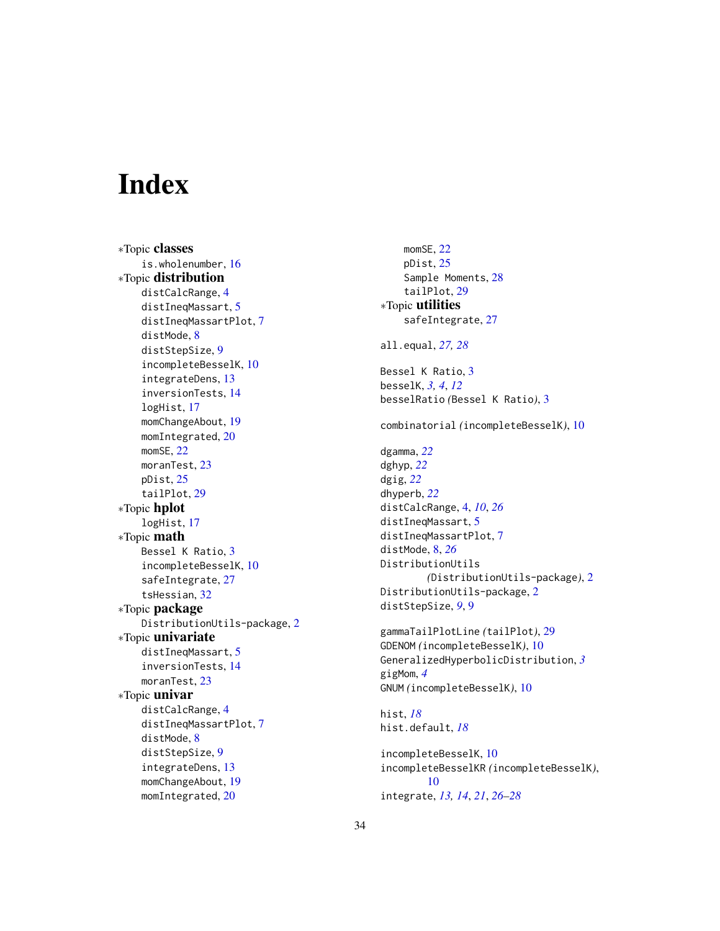# <span id="page-33-0"></span>**Index**

∗Topic classes is.wholenumber, [16](#page-15-0) ∗Topic distribution distCalcRange, [4](#page-3-0) distIneqMassart, [5](#page-4-0) distIneqMassartPlot, [7](#page-6-0) distMode, [8](#page-7-0) distStepSize, [9](#page-8-0) incompleteBesselK, [10](#page-9-0) integrateDens, [13](#page-12-0) inversionTests, [14](#page-13-0) logHist, [17](#page-16-0) momChangeAbout, [19](#page-18-0) momIntegrated, [20](#page-19-0) momSE, [22](#page-21-0) moranTest, [23](#page-22-0) pDist, [25](#page-24-0) tailPlot, [29](#page-28-0) ∗Topic hplot logHist, [17](#page-16-0) ∗Topic math Bessel K Ratio, [3](#page-2-0) incompleteBesselK, [10](#page-9-0) safeIntegrate, [27](#page-26-0) tsHessian, [32](#page-31-0) ∗Topic package DistributionUtils-package, [2](#page-1-0) ∗Topic univariate distIneqMassart, [5](#page-4-0) inversionTests, [14](#page-13-0) moranTest, [23](#page-22-0) ∗Topic univar distCalcRange, [4](#page-3-0) distIneqMassartPlot, [7](#page-6-0) distMode, [8](#page-7-0) distStepSize, [9](#page-8-0) integrateDens, [13](#page-12-0) momChangeAbout, [19](#page-18-0) momIntegrated, [20](#page-19-0)

momSE, [22](#page-21-0) pDist, [25](#page-24-0) Sample Moments, [28](#page-27-0) tailPlot, [29](#page-28-0) ∗Topic utilities safeIntegrate, [27](#page-26-0) all.equal, *[27,](#page-26-0) [28](#page-27-0)* Bessel K Ratio, [3](#page-2-0) besselK, *[3,](#page-2-0) [4](#page-3-0)*, *[12](#page-11-0)* besselRatio *(*Bessel K Ratio*)*, [3](#page-2-0) combinatorial *(*incompleteBesselK*)*, [10](#page-9-0) dgamma, *[22](#page-21-0)* dghyp, *[22](#page-21-0)* dgig, *[22](#page-21-0)* dhyperb, *[22](#page-21-0)* distCalcRange, [4,](#page-3-0) *[10](#page-9-0)*, *[26](#page-25-0)* distIneqMassart, [5](#page-4-0) distIneqMassartPlot, [7](#page-6-0) distMode, [8,](#page-7-0) *[26](#page-25-0)* DistributionUtils *(*DistributionUtils-package*)*, [2](#page-1-0) DistributionUtils-package, [2](#page-1-0) distStepSize, *[9](#page-8-0)*, [9](#page-8-0) gammaTailPlotLine *(*tailPlot*)*, [29](#page-28-0) GDENOM *(*incompleteBesselK*)*, [10](#page-9-0) GeneralizedHyperbolicDistribution, *[3](#page-2-0)* gigMom, *[4](#page-3-0)* GNUM *(*incompleteBesselK*)*, [10](#page-9-0) hist, *[18](#page-17-0)* hist.default, *[18](#page-17-0)* incompleteBesselK, [10](#page-9-0) incompleteBesselKR *(*incompleteBesselK*)*, [10](#page-9-0)

integrate, *[13,](#page-12-0) [14](#page-13-0)*, *[21](#page-20-0)*, *[26](#page-25-0)[–28](#page-27-0)*